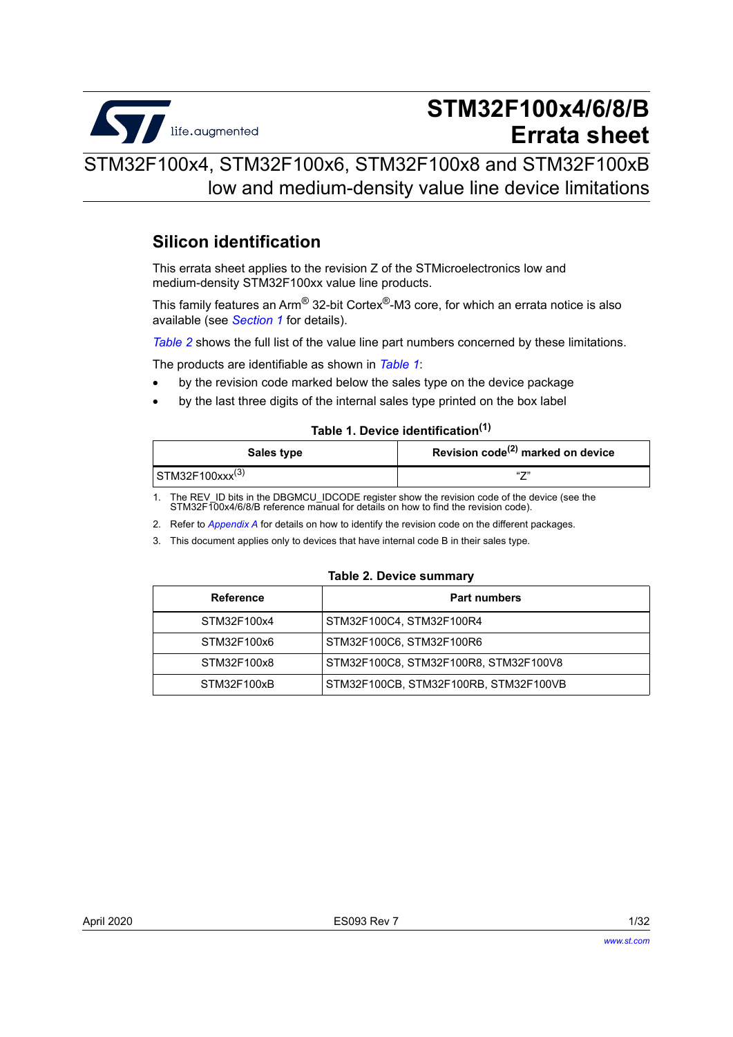

# **STM32F100x4/6/8/B Errata sheet**

STM32F100x4, STM32F100x6, STM32F100x8 and STM32F100xB low and medium-density value line device limitations

## **Silicon identification**

This errata sheet applies to the revision Z of the STMicroelectronics low and medium-density STM32F100xx value line products.

This family features an Arm® 32-bit Cortex®-M3 core, for which an errata notice is also available (see *[Section](#page-5-0) 1* for details).

*[Table](#page-0-0) 2* shows the full list of the value line part numbers concerned by these limitations.

The products are identifiable as shown in *[Table](#page-0-1) 1*:

- by the revision code marked below the sales type on the device package
- by the last three digits of the internal sales type printed on the box label

## **Table 1. Device identification(1)**

<span id="page-0-1"></span>

| Sales type                  | Revision code <sup>(2)</sup> marked on device |
|-----------------------------|-----------------------------------------------|
| STM32F100xxx <sup>(3)</sup> | $(1 - 2)$                                     |

1. The REV\_ID bits in the DBGMCU\_IDCODE register show the revision code of the device (see the STM32F100x4/6/8/B reference manual for details on how to find the revision code).

2. Refer to *[Appendix A](#page-27-0)* for details on how to identify the revision code on the different packages.

3. This document applies only to devices that have internal code B in their sales type.

#### **Table 2. Device summary**

<span id="page-0-0"></span>

| Reference   | <b>Part numbers</b>                   |
|-------------|---------------------------------------|
| STM32F100x4 | STM32F100C4, STM32F100R4              |
| STM32F100x6 | STM32F100C6, STM32F100R6              |
| STM32F100x8 | STM32F100C8, STM32F100R8, STM32F100V8 |
| STM32F100xB | STM32F100CB, STM32F100RB, STM32F100VB |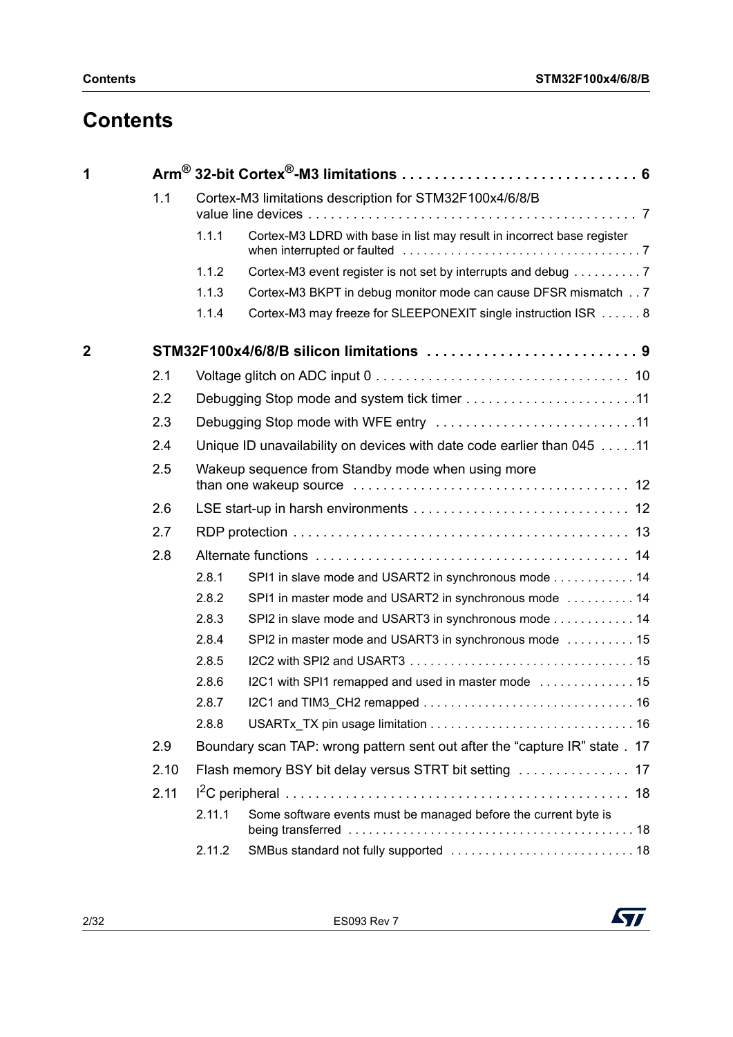# **Contents**

| 1            |      |                                                                             |                                                                        |  |
|--------------|------|-----------------------------------------------------------------------------|------------------------------------------------------------------------|--|
| 1.1          |      |                                                                             | Cortex-M3 limitations description for STM32F100x4/6/8/B                |  |
|              |      | 1.1.1                                                                       | Cortex-M3 LDRD with base in list may result in incorrect base register |  |
|              |      | 1.1.2                                                                       | Cortex-M3 event register is not set by interrupts and debug 7          |  |
|              |      | 1.1.3                                                                       | Cortex-M3 BKPT in debug monitor mode can cause DFSR mismatch 7         |  |
|              |      | 1.1.4                                                                       | Cortex-M3 may freeze for SLEEPONEXIT single instruction ISR  8         |  |
| $\mathbf{2}$ |      |                                                                             |                                                                        |  |
|              | 2.1  |                                                                             |                                                                        |  |
|              | 2.2  |                                                                             |                                                                        |  |
|              | 2.3  |                                                                             |                                                                        |  |
|              | 2.4  |                                                                             | Unique ID unavailability on devices with date code earlier than 045 11 |  |
|              | 2.5  |                                                                             | Wakeup sequence from Standby mode when using more                      |  |
|              | 2.6  |                                                                             |                                                                        |  |
|              | 2.7  |                                                                             |                                                                        |  |
|              | 2.8  |                                                                             |                                                                        |  |
|              |      | 2.8.1                                                                       | SPI1 in slave mode and USART2 in synchronous mode 14                   |  |
|              |      | 2.8.2                                                                       | SPI1 in master mode and USART2 in synchronous mode  14                 |  |
|              |      | 2.8.3                                                                       | SPI2 in slave mode and USART3 in synchronous mode 14                   |  |
|              |      | 2.8.4                                                                       | SPI2 in master mode and USART3 in synchronous mode  15                 |  |
|              |      | 2.8.5                                                                       |                                                                        |  |
|              |      | 2.8.6                                                                       |                                                                        |  |
|              |      | 2.8.7                                                                       |                                                                        |  |
|              |      | 2.8.8                                                                       |                                                                        |  |
|              | 2.9  | Boundary scan TAP: wrong pattern sent out after the "capture IR" state . 17 |                                                                        |  |
|              | 2.10 |                                                                             |                                                                        |  |
|              | 2.11 |                                                                             |                                                                        |  |
|              |      | 2.11.1                                                                      | Some software events must be managed before the current byte is        |  |
|              |      | 2.11.2                                                                      |                                                                        |  |

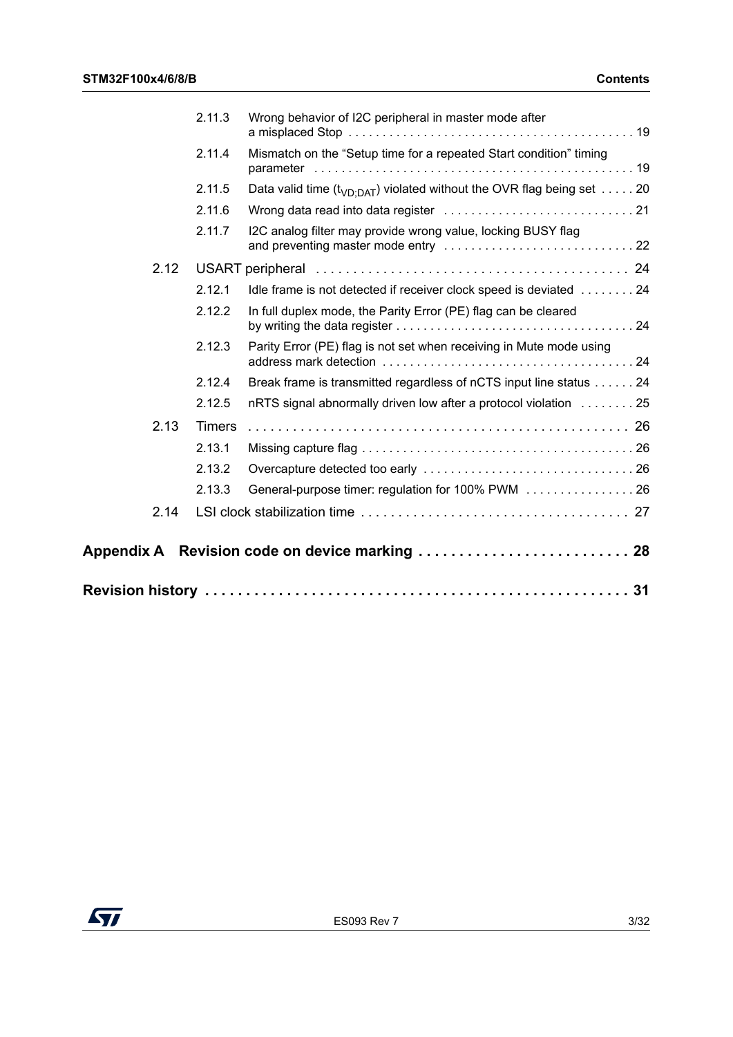|      | 2.11.3        | Wrong behavior of I2C peripheral in master mode after                        |
|------|---------------|------------------------------------------------------------------------------|
|      | 2.11.4        | Mismatch on the "Setup time for a repeated Start condition" timing           |
|      | 2.11.5        | Data valid time ( $t_{VD:DAT}$ ) violated without the OVR flag being set  20 |
|      | 2.11.6        |                                                                              |
|      | 2.11.7        | I2C analog filter may provide wrong value, locking BUSY flag                 |
| 2.12 |               |                                                                              |
|      | 2.12.1        | Idle frame is not detected if receiver clock speed is deviated  24           |
|      | 2.12.2        | In full duplex mode, the Parity Error (PE) flag can be cleared               |
|      | 2.12.3        | Parity Error (PE) flag is not set when receiving in Mute mode using          |
|      | 2.12.4        | Break frame is transmitted regardless of nCTS input line status 24           |
|      | 2.12.5        | nRTS signal abnormally driven low after a protocol violation 25              |
| 2.13 | <b>Timers</b> |                                                                              |
|      | 2.13.1        |                                                                              |
|      | 2.13.2        |                                                                              |
|      | 2.13.3        | General-purpose timer: regulation for 100% PWM 26                            |
| 2.14 |               |                                                                              |
|      |               | Appendix A Revision code on device marking  28                               |
|      |               |                                                                              |

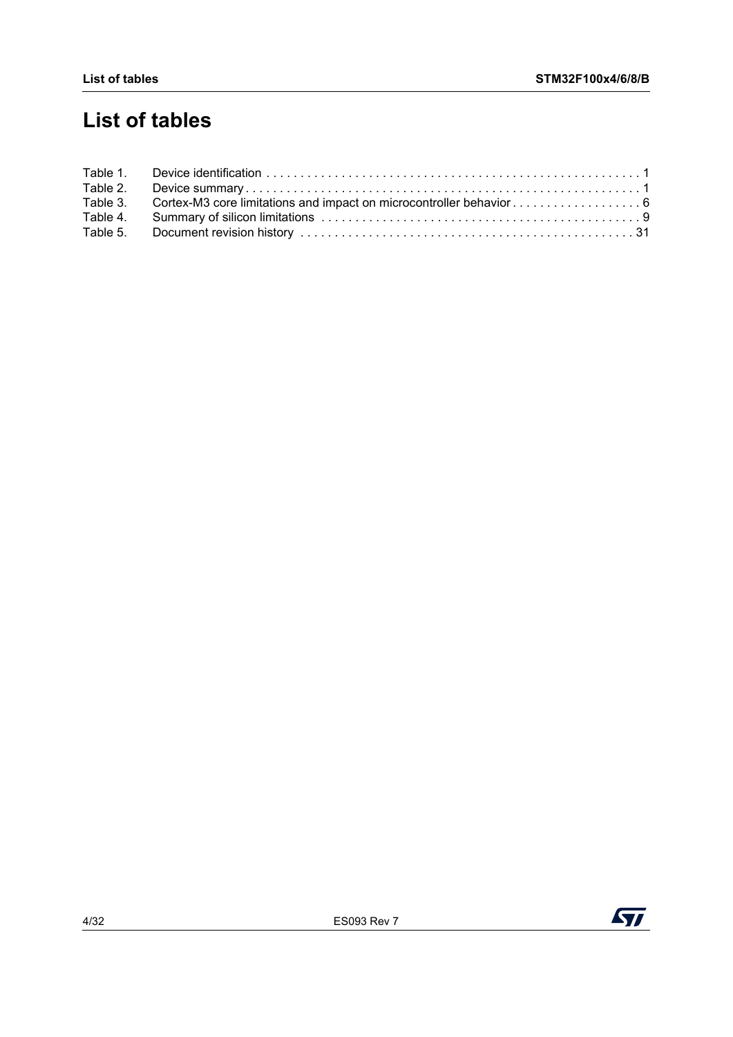# **List of tables**

| Table 2. |                                                                              |  |
|----------|------------------------------------------------------------------------------|--|
|          | Table 3. Cortex-M3 core limitations and impact on microcontroller behavior 6 |  |
|          |                                                                              |  |
|          |                                                                              |  |



 $\sqrt{1}$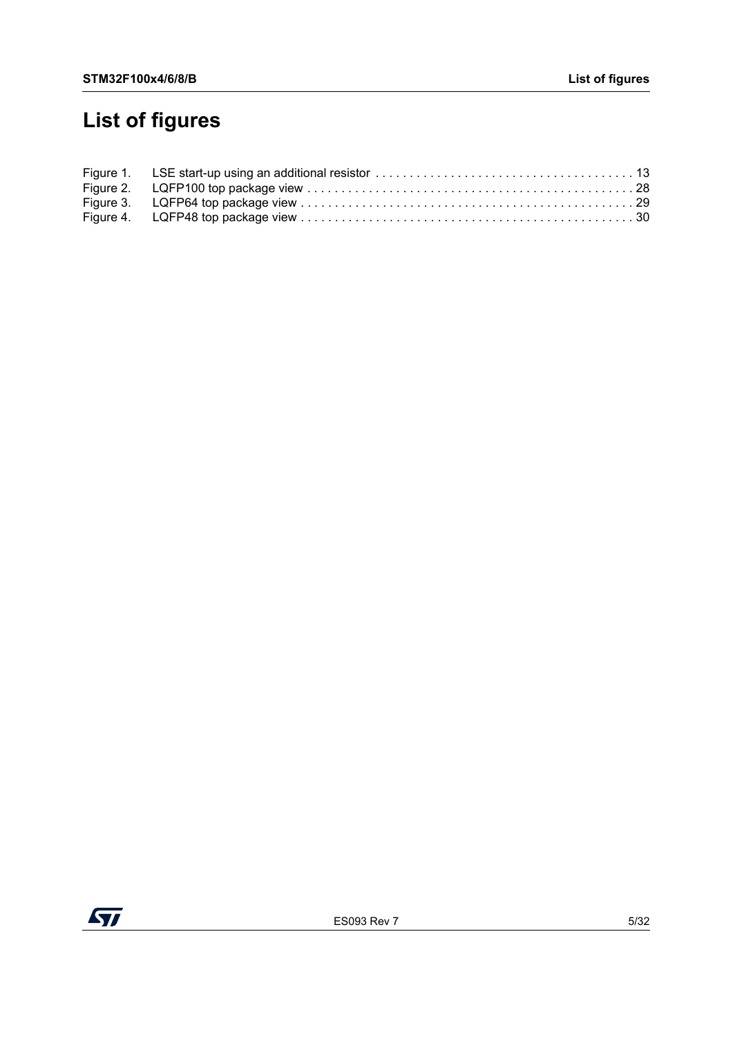# **List of figures**

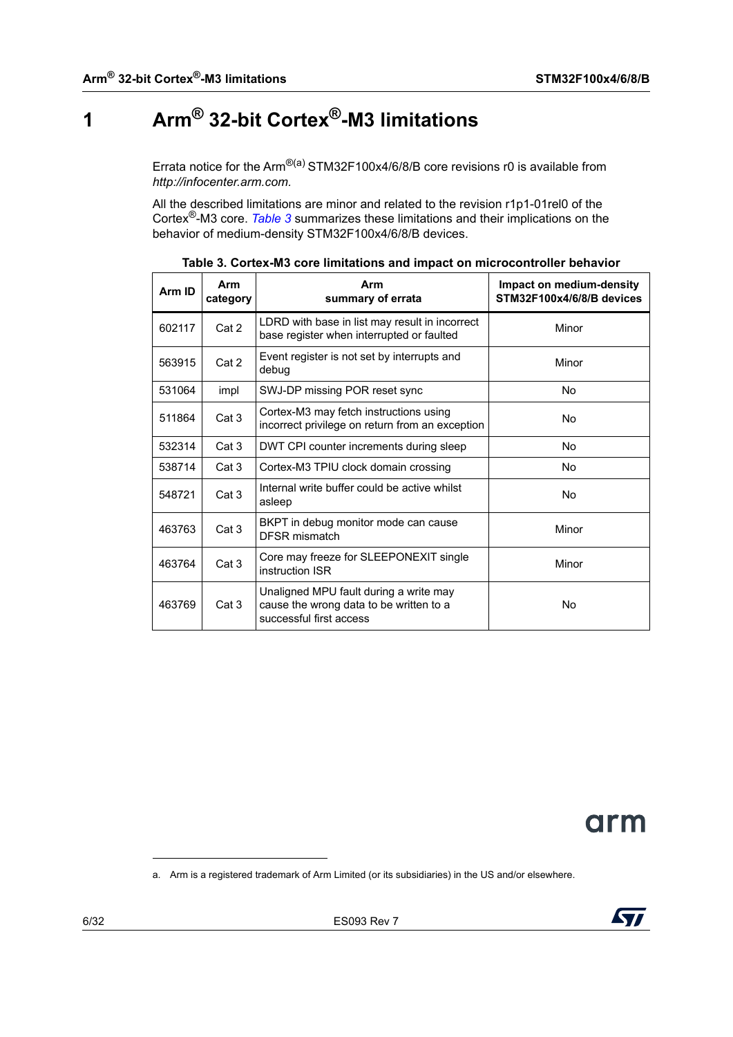# <span id="page-5-1"></span>**1 Arm® 32-bit Cortex®-M3 limitations**

<span id="page-5-0"></span>Errata notice for the Arm<sup>®(a)</sup> STM32F100x4/6/8/B core revisions r0 is available from *http://infocenter.arm.com.*

All the described limitations are minor and related to the revision r1p1-01rel0 of the Cortex®-M3 core. *[Table](#page-5-2) 3* summarizes these limitations and their implications on the behavior of medium-density STM32F100x4/6/8/B devices.

<span id="page-5-2"></span>

| Arm ID | Arm<br>category                                                    | Arm<br>summary of errata                                                                                     | Impact on medium-density<br>STM32F100x4/6/8/B devices |
|--------|--------------------------------------------------------------------|--------------------------------------------------------------------------------------------------------------|-------------------------------------------------------|
| 602117 | Cat 2                                                              | LDRD with base in list may result in incorrect<br>base register when interrupted or faulted                  | Minor                                                 |
| 563915 | Cat 2                                                              | Event register is not set by interrupts and<br>debug                                                         | Minor                                                 |
| 531064 | impl                                                               | SWJ-DP missing POR reset sync                                                                                | <b>No</b>                                             |
| 511864 | Cat 3                                                              | Cortex-M3 may fetch instructions using<br>incorrect privilege on return from an exception                    | No                                                    |
| 532314 | Cat 3                                                              | DWT CPI counter increments during sleep                                                                      | No                                                    |
| 538714 | Cat 3                                                              | Cortex-M3 TPIU clock domain crossing                                                                         | No                                                    |
| 548721 | Cat 3                                                              | Internal write buffer could be active whilst<br>asleep                                                       | No                                                    |
| 463763 | BKPT in debug monitor mode can cause<br>Cat 3<br>DFSR mismatch     |                                                                                                              | Minor                                                 |
| 463764 | Core may freeze for SLEEPONEXIT single<br>Cat 3<br>instruction ISR |                                                                                                              | Minor                                                 |
| 463769 | Cat 3                                                              | Unaligned MPU fault during a write may<br>cause the wrong data to be written to a<br>successful first access | No                                                    |

| Table 3. Cortex-M3 core limitations and impact on microcontroller behavior |  |
|----------------------------------------------------------------------------|--|
|----------------------------------------------------------------------------|--|



a. Arm is a registered trademark of Arm Limited (or its subsidiaries) in the US and/or elsewhere.

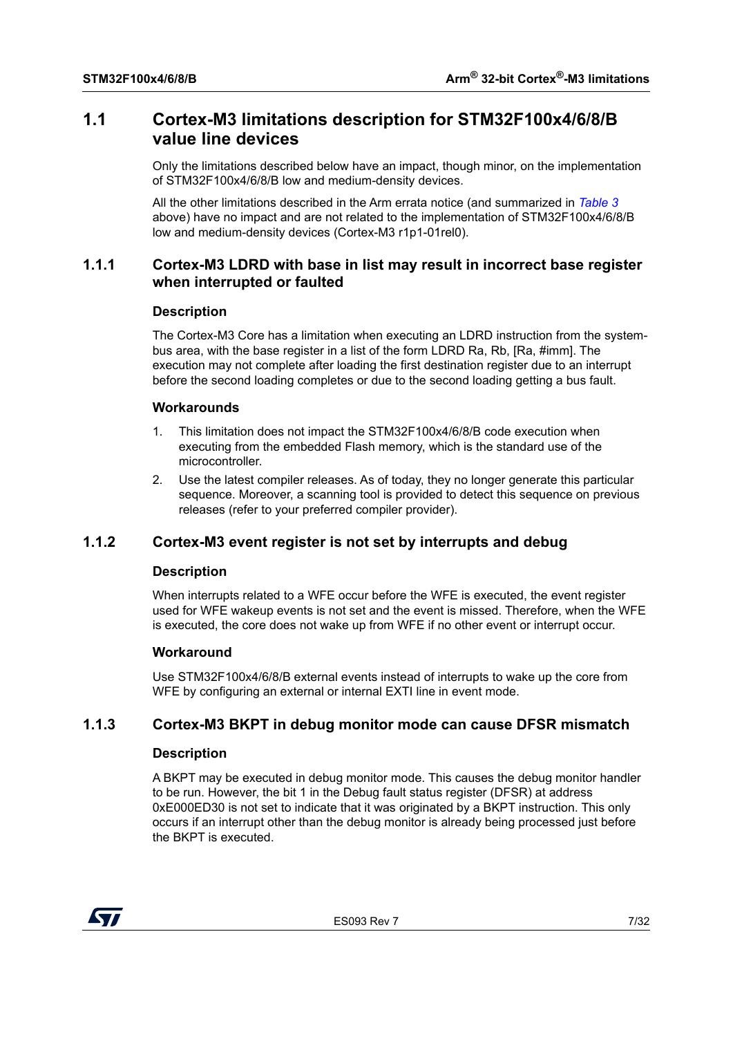## <span id="page-6-0"></span>**1.1 Cortex-M3 limitations description for STM32F100x4/6/8/B value line devices**

Only the limitations described below have an impact, though minor, on the implementation of STM32F100x4/6/8/B low and medium-density devices.

All the other limitations described in the Arm errata notice (and summarized in *[Table](#page-5-2) 3* above) have no impact and are not related to the implementation of STM32F100x4/6/8/B low and medium-density devices (Cortex-M3 r1p1-01rel0).

## <span id="page-6-1"></span>**1.1.1 Cortex-M3 LDRD with base in list may result in incorrect base register when interrupted or faulted**

## **Description**

The Cortex-M3 Core has a limitation when executing an LDRD instruction from the systembus area, with the base register in a list of the form LDRD Ra, Rb, [Ra, #imm]. The execution may not complete after loading the first destination register due to an interrupt before the second loading completes or due to the second loading getting a bus fault.

## **Workarounds**

- 1. This limitation does not impact the STM32F100x4/6/8/B code execution when executing from the embedded Flash memory, which is the standard use of the microcontroller.
- 2. Use the latest compiler releases. As of today, they no longer generate this particular sequence. Moreover, a scanning tool is provided to detect this sequence on previous releases (refer to your preferred compiler provider).

## <span id="page-6-2"></span>**1.1.2 Cortex-M3 event register is not set by interrupts and debug**

## **Description**

When interrupts related to a WFE occur before the WFE is executed, the event register used for WFE wakeup events is not set and the event is missed. Therefore, when the WFE is executed, the core does not wake up from WFE if no other event or interrupt occur.

## **Workaround**

Use STM32F100x4/6/8/B external events instead of interrupts to wake up the core from WFE by configuring an external or internal EXTI line in event mode.

## <span id="page-6-3"></span>**1.1.3 Cortex-M3 BKPT in debug monitor mode can cause DFSR mismatch**

## **Description**

A BKPT may be executed in debug monitor mode. This causes the debug monitor handler to be run. However, the bit 1 in the Debug fault status register (DFSR) at address 0xE000ED30 is not set to indicate that it was originated by a BKPT instruction. This only occurs if an interrupt other than the debug monitor is already being processed just before the BKPT is executed.

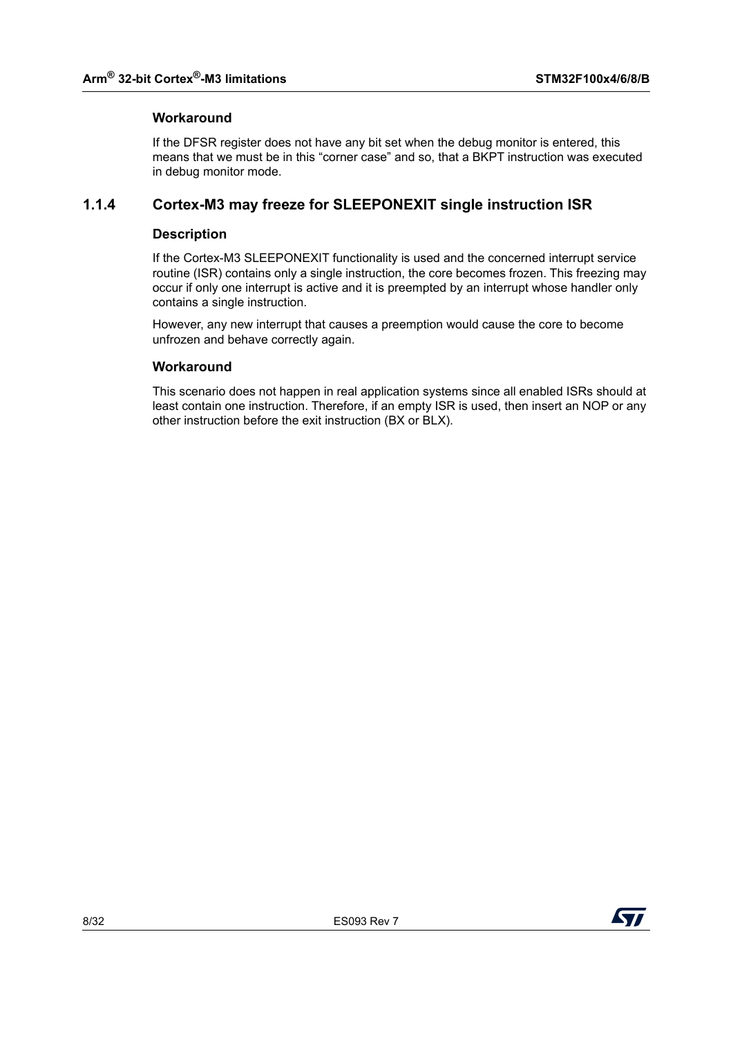## **Workaround**

If the DFSR register does not have any bit set when the debug monitor is entered, this means that we must be in this "corner case" and so, that a BKPT instruction was executed in debug monitor mode.

## <span id="page-7-0"></span>**1.1.4 Cortex-M3 may freeze for SLEEPONEXIT single instruction ISR**

## **Description**

If the Cortex-M3 SLEEPONEXIT functionality is used and the concerned interrupt service routine (ISR) contains only a single instruction, the core becomes frozen. This freezing may occur if only one interrupt is active and it is preempted by an interrupt whose handler only contains a single instruction.

However, any new interrupt that causes a preemption would cause the core to become unfrozen and behave correctly again.

## **Workaround**

This scenario does not happen in real application systems since all enabled ISRs should at least contain one instruction. Therefore, if an empty ISR is used, then insert an NOP or any other instruction before the exit instruction (BX or BLX).

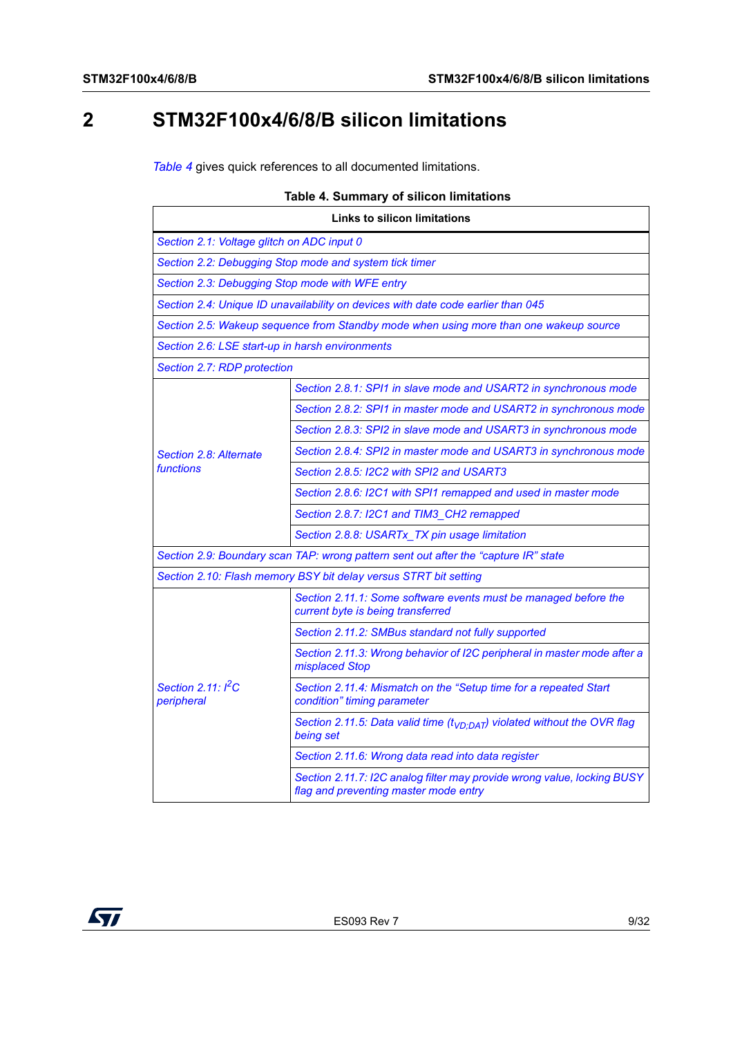# <span id="page-8-0"></span>**2 STM32F100x4/6/8/B silicon limitations**

*[Table](#page-8-1) 4* gives quick references to all documented limitations.

<span id="page-8-1"></span>

| <b>Links to silicon limitations</b>                                                 |                                                                                                                  |  |  |
|-------------------------------------------------------------------------------------|------------------------------------------------------------------------------------------------------------------|--|--|
| Section 2.1: Voltage glitch on ADC input 0                                          |                                                                                                                  |  |  |
| Section 2.2: Debugging Stop mode and system tick timer                              |                                                                                                                  |  |  |
| Section 2.3: Debugging Stop mode with WFE entry                                     |                                                                                                                  |  |  |
|                                                                                     | Section 2.4: Unique ID unavailability on devices with date code earlier than 045                                 |  |  |
|                                                                                     | Section 2.5: Wakeup sequence from Standby mode when using more than one wakeup source                            |  |  |
| Section 2.6: LSE start-up in harsh environments                                     |                                                                                                                  |  |  |
| Section 2.7: RDP protection                                                         |                                                                                                                  |  |  |
|                                                                                     | Section 2.8.1: SPI1 in slave mode and USART2 in synchronous mode                                                 |  |  |
|                                                                                     | Section 2.8.2: SPI1 in master mode and USART2 in synchronous mode                                                |  |  |
|                                                                                     | Section 2.8.3: SPI2 in slave mode and USART3 in synchronous mode                                                 |  |  |
| Section 2.8: Alternate                                                              | Section 2.8.4: SPI2 in master mode and USART3 in synchronous mode                                                |  |  |
| functions                                                                           | Section 2.8.5: I2C2 with SPI2 and USART3                                                                         |  |  |
|                                                                                     | Section 2.8.6: I2C1 with SPI1 remapped and used in master mode                                                   |  |  |
|                                                                                     | Section 2.8.7: I2C1 and TIM3_CH2 remapped                                                                        |  |  |
|                                                                                     | Section 2.8.8: USARTx_TX pin usage limitation                                                                    |  |  |
| Section 2.9: Boundary scan TAP: wrong pattern sent out after the "capture IR" state |                                                                                                                  |  |  |
| Section 2.10: Flash memory BSY bit delay versus STRT bit setting                    |                                                                                                                  |  |  |
|                                                                                     | Section 2.11.1: Some software events must be managed before the<br>current byte is being transferred             |  |  |
|                                                                                     | Section 2.11.2: SMBus standard not fully supported                                                               |  |  |
|                                                                                     | Section 2.11.3: Wrong behavior of I2C peripheral in master mode after a<br>misplaced Stop                        |  |  |
| Section 2.11: $I^2C$<br>peripheral                                                  | Section 2.11.4: Mismatch on the "Setup time for a repeated Start<br>condition" timing parameter                  |  |  |
|                                                                                     | Section 2.11.5: Data valid time ( $t_{VD:DAT}$ ) violated without the OVR flag<br>being set                      |  |  |
|                                                                                     | Section 2.11.6: Wrong data read into data register                                                               |  |  |
|                                                                                     | Section 2.11.7: I2C analog filter may provide wrong value, locking BUSY<br>flag and preventing master mode entry |  |  |

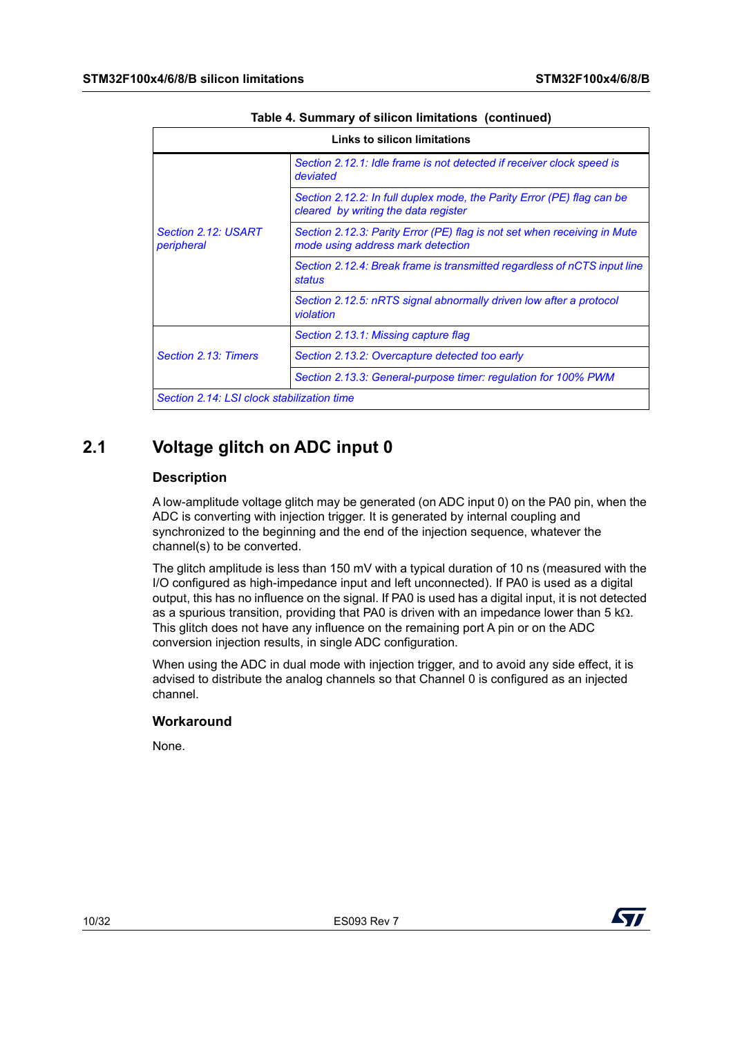| Links to silicon limitations               |                                                                                                                |  |
|--------------------------------------------|----------------------------------------------------------------------------------------------------------------|--|
| Section 2.12: USART<br>peripheral          | Section 2.12.1: Idle frame is not detected if receiver clock speed is<br>deviated                              |  |
|                                            | Section 2.12.2: In full duplex mode, the Parity Error (PE) flag can be<br>cleared by writing the data register |  |
|                                            | Section 2.12.3: Parity Error (PE) flag is not set when receiving in Mute<br>mode using address mark detection  |  |
|                                            | Section 2.12.4: Break frame is transmitted regardless of nCTS input line<br>status                             |  |
|                                            | Section 2.12.5: nRTS signal abnormally driven low after a protocol<br>violation                                |  |
| Section 2.13: Timers                       | Section 2.13.1: Missing capture flag                                                                           |  |
|                                            | Section 2.13.2: Overcapture detected too early                                                                 |  |
|                                            | Section 2.13.3: General-purpose timer: regulation for 100% PWM                                                 |  |
| Section 2.14: LSI clock stabilization time |                                                                                                                |  |

#### **Table 4. Summary of silicon limitations (continued)**

## <span id="page-9-0"></span>**2.1 Voltage glitch on ADC input 0**

## **Description**

A low-amplitude voltage glitch may be generated (on ADC input 0) on the PA0 pin, when the ADC is converting with injection trigger. It is generated by internal coupling and synchronized to the beginning and the end of the injection sequence, whatever the channel(s) to be converted.

The glitch amplitude is less than 150 mV with a typical duration of 10 ns (measured with the I/O configured as high-impedance input and left unconnected). If PA0 is used as a digital output, this has no influence on the signal. If PA0 is used has a digital input, it is not detected as a spurious transition, providing that PA0 is driven with an impedance lower than 5 k $\Omega$ . This glitch does not have any influence on the remaining port A pin or on the ADC conversion injection results, in single ADC configuration.

When using the ADC in dual mode with injection trigger, and to avoid any side effect, it is advised to distribute the analog channels so that Channel 0 is configured as an injected channel.

## **Workaround**

None.

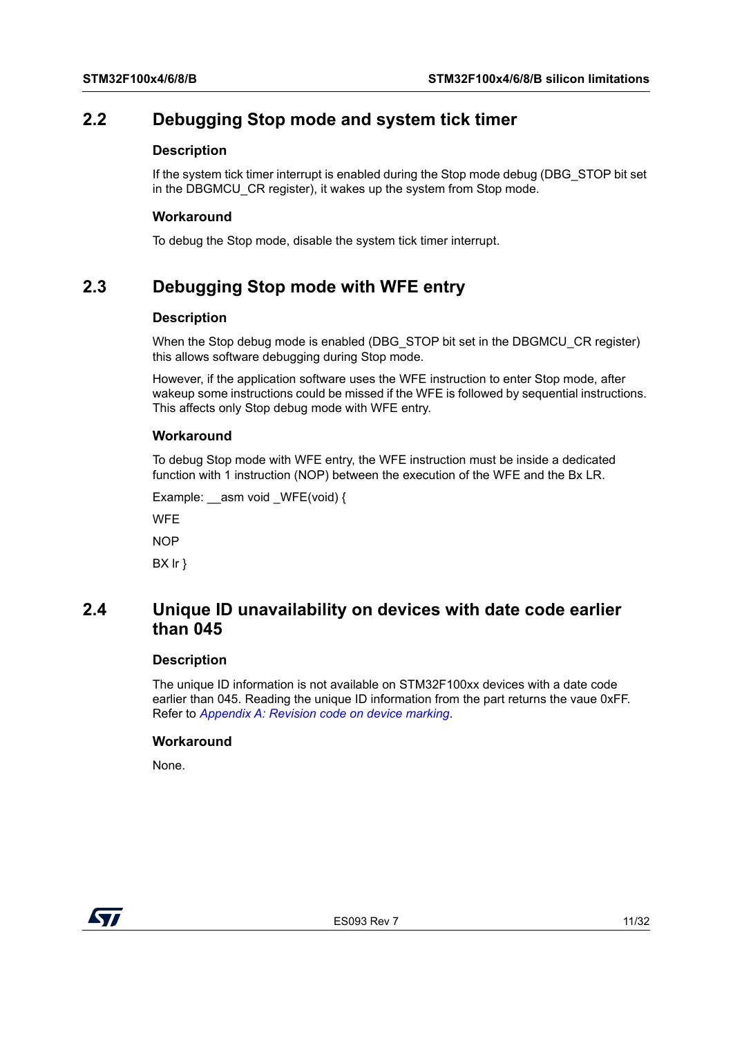## <span id="page-10-0"></span>**2.2 Debugging Stop mode and system tick timer**

#### **Description**

If the system tick timer interrupt is enabled during the Stop mode debug (DBG\_STOP bit set in the DBGMCU CR register), it wakes up the system from Stop mode.

#### **Workaround**

To debug the Stop mode, disable the system tick timer interrupt.

## <span id="page-10-1"></span>**2.3 Debugging Stop mode with WFE entry**

## **Description**

When the Stop debug mode is enabled (DBG\_STOP bit set in the DBGMCU\_CR register) this allows software debugging during Stop mode.

However, if the application software uses the WFE instruction to enter Stop mode, after wakeup some instructions could be missed if the WFE is followed by sequential instructions. This affects only Stop debug mode with WFE entry.

#### **Workaround**

To debug Stop mode with WFE entry, the WFE instruction must be inside a dedicated function with 1 instruction (NOP) between the execution of the WFE and the Bx LR.

Example: \_\_asm void \_WFE(void) {

**WFE** 

NOP

BX lr }

## <span id="page-10-2"></span>**2.4 Unique ID unavailability on devices with date code earlier than 045**

#### **Description**

The unique ID information is not available on STM32F100xx devices with a date code earlier than 045. Reading the unique ID information from the part returns the vaue 0xFF. Refer to *[Appendix A: Revision code on device marking](#page-27-1)*.

#### **Workaround**

None.

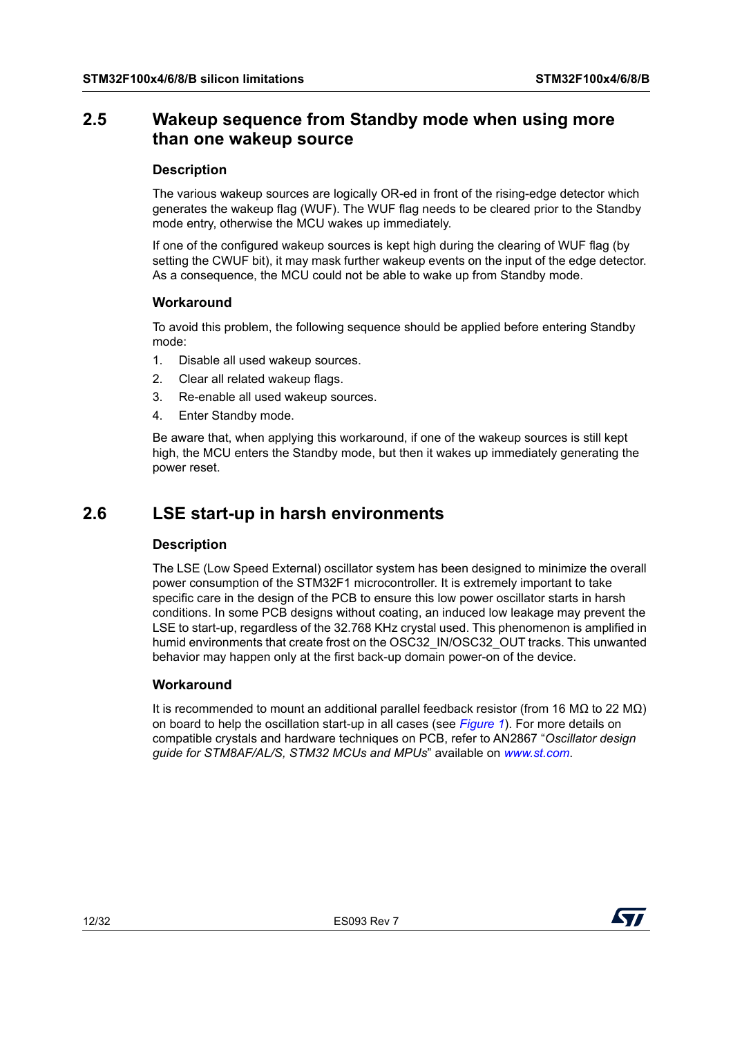## <span id="page-11-0"></span>**2.5 Wakeup sequence from Standby mode when using more than one wakeup source**

## **Description**

The various wakeup sources are logically OR-ed in front of the rising-edge detector which generates the wakeup flag (WUF). The WUF flag needs to be cleared prior to the Standby mode entry, otherwise the MCU wakes up immediately.

If one of the configured wakeup sources is kept high during the clearing of WUF flag (by setting the CWUF bit), it may mask further wakeup events on the input of the edge detector. As a consequence, the MCU could not be able to wake up from Standby mode.

## **Workaround**

To avoid this problem, the following sequence should be applied before entering Standby mode:

- 1. Disable all used wakeup sources.
- 2. Clear all related wakeup flags.
- 3. Re-enable all used wakeup sources.
- 4. Enter Standby mode.

Be aware that, when applying this workaround, if one of the wakeup sources is still kept high, the MCU enters the Standby mode, but then it wakes up immediately generating the power reset.

## <span id="page-11-1"></span>**2.6 LSE start-up in harsh environments**

## **Description**

The LSE (Low Speed External) oscillator system has been designed to minimize the overall power consumption of the STM32F1 microcontroller. It is extremely important to take specific care in the design of the PCB to ensure this low power oscillator starts in harsh conditions. In some PCB designs without coating, an induced low leakage may prevent the LSE to start-up, regardless of the 32.768 KHz crystal used. This phenomenon is amplified in humid environments that create frost on the OSC32\_IN/OSC32\_OUT tracks. This unwanted behavior may happen only at the first back-up domain power-on of the device.

## **Workaround**

It is recommended to mount an additional parallel feedback resistor (from 16 MQ to 22 MQ) on board to help the oscillation start-up in all cases (see *[Figure](#page-12-1) 1*). For more details on compatible crystals and hardware techniques on PCB, refer to AN2867 "*Oscillator design guide for STM8AF/AL/S, STM32 MCUs and MPUs*" available on *www.st.com*.

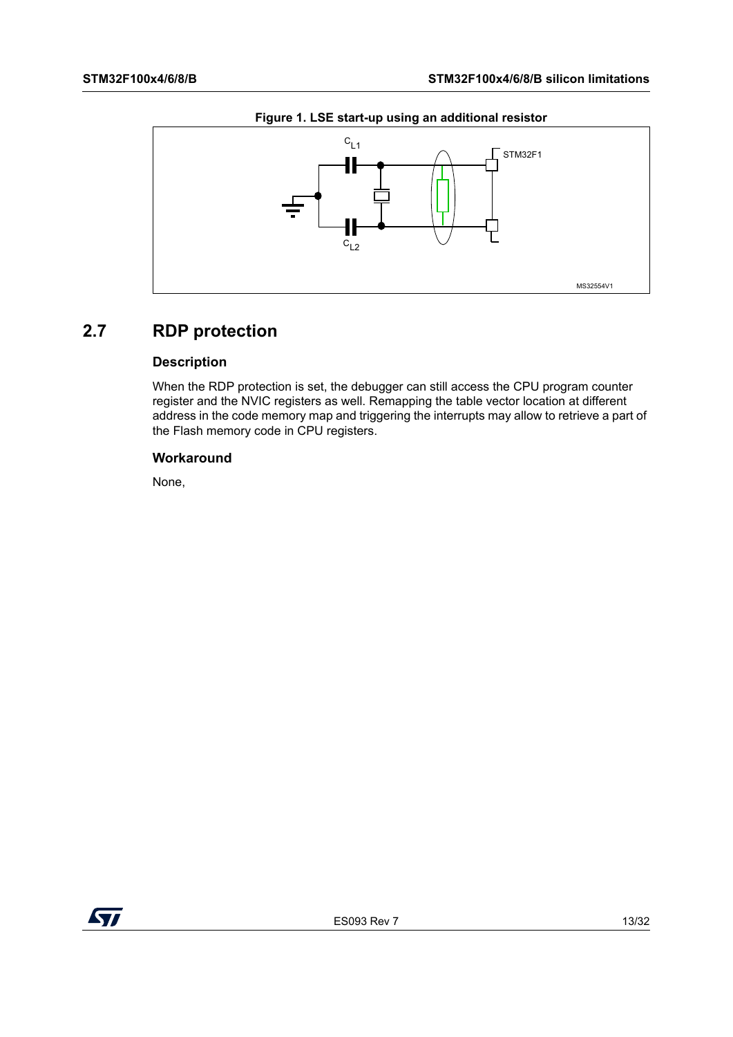<span id="page-12-1"></span>

#### **Figure 1. LSE start-up using an additional resistor**

## <span id="page-12-0"></span>**2.7 RDP protection**

## **Description**

When the RDP protection is set, the debugger can still access the CPU program counter register and the NVIC registers as well. Remapping the table vector location at different address in the code memory map and triggering the interrupts may allow to retrieve a part of the Flash memory code in CPU registers.

## **Workaround**

None,

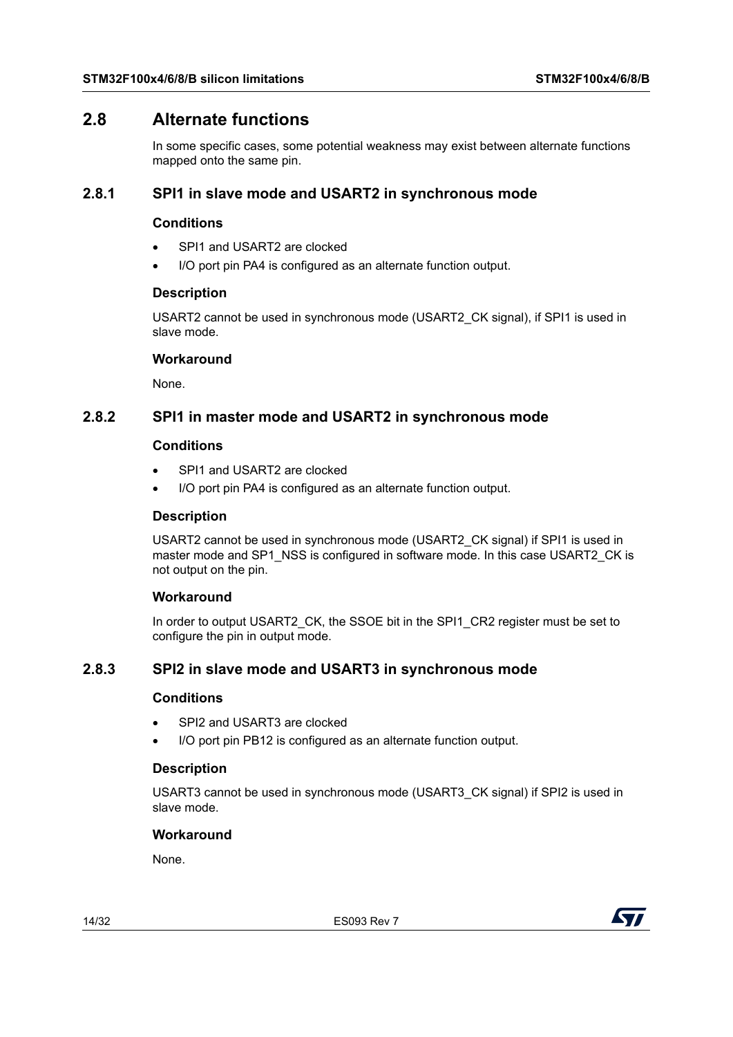## <span id="page-13-0"></span>**2.8 Alternate functions**

In some specific cases, some potential weakness may exist between alternate functions mapped onto the same pin.

## <span id="page-13-1"></span>**2.8.1 SPI1 in slave mode and USART2 in synchronous mode**

## **Conditions**

- SPI1 and USART2 are clocked
- I/O port pin PA4 is configured as an alternate function output.

## **Description**

USART2 cannot be used in synchronous mode (USART2\_CK signal), if SPI1 is used in slave mode.

#### **Workaround**

None.

## <span id="page-13-2"></span>**2.8.2 SPI1 in master mode and USART2 in synchronous mode**

#### **Conditions**

- SPI1 and USART2 are clocked
- I/O port pin PA4 is configured as an alternate function output.

## **Description**

USART2 cannot be used in synchronous mode (USART2\_CK signal) if SPI1 is used in master mode and SP1\_NSS is configured in software mode. In this case USART2\_CK is not output on the pin.

## **Workaround**

In order to output USART2\_CK, the SSOE bit in the SPI1\_CR2 register must be set to configure the pin in output mode.

## <span id="page-13-3"></span>**2.8.3 SPI2 in slave mode and USART3 in synchronous mode**

## **Conditions**

- SPI2 and USART3 are clocked
- I/O port pin PB12 is configured as an alternate function output.

## **Description**

USART3 cannot be used in synchronous mode (USART3\_CK signal) if SPI2 is used in slave mode.

## **Workaround**

None.

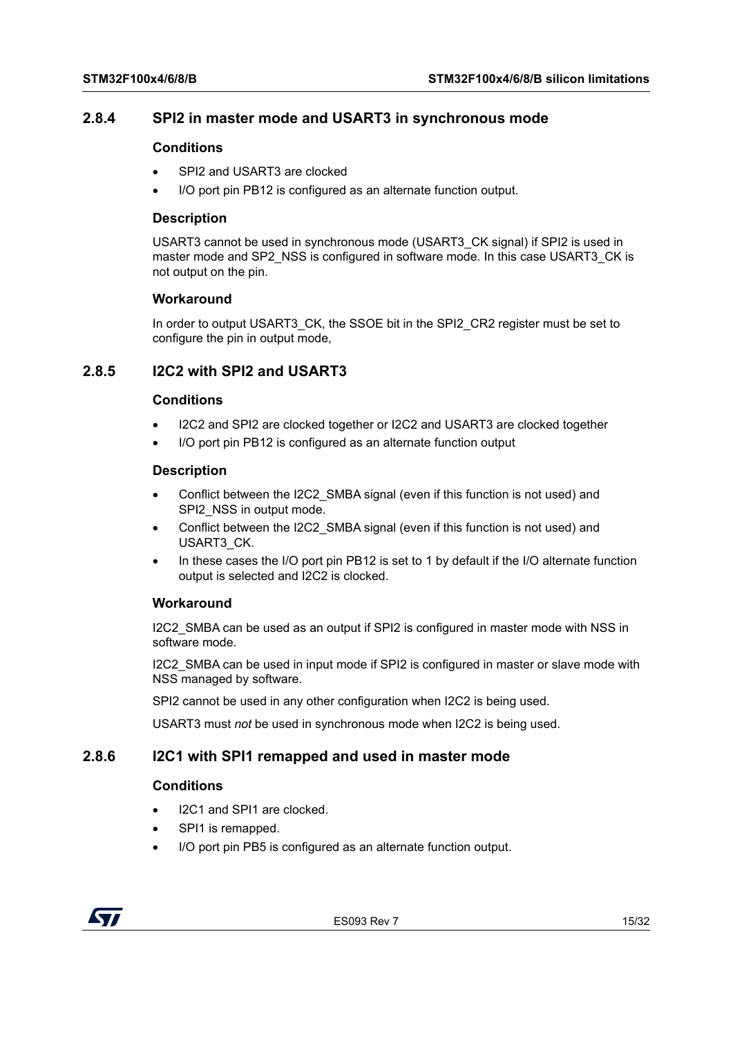## <span id="page-14-0"></span>**2.8.4 SPI2 in master mode and USART3 in synchronous mode**

## **Conditions**

- SPI2 and USART3 are clocked
- I/O port pin PB12 is configured as an alternate function output.

## **Description**

USART3 cannot be used in synchronous mode (USART3\_CK signal) if SPI2 is used in master mode and SP2\_NSS is configured in software mode. In this case USART3\_CK is not output on the pin.

## **Workaround**

In order to output USART3\_CK, the SSOE bit in the SPI2\_CR2 register must be set to configure the pin in output mode,

## <span id="page-14-1"></span>**2.8.5 I2C2 with SPI2 and USART3**

## **Conditions**

- I2C2 and SPI2 are clocked together or I2C2 and USART3 are clocked together
- I/O port pin PB12 is configured as an alternate function output

## **Description**

- Conflict between the I2C2\_SMBA signal (even if this function is not used) and SPI2\_NSS in output mode.
- Conflict between the I2C2\_SMBA signal (even if this function is not used) and USART3\_CK.
- In these cases the I/O port pin PB12 is set to 1 by default if the I/O alternate function output is selected and I2C2 is clocked.

## **Workaround**

I2C2\_SMBA can be used as an output if SPI2 is configured in master mode with NSS in software mode.

I2C2\_SMBA can be used in input mode if SPI2 is configured in master or slave mode with NSS managed by software.

SPI2 cannot be used in any other configuration when I2C2 is being used.

USART3 must *not* be used in synchronous mode when I2C2 is being used.

## <span id="page-14-2"></span>**2.8.6 I2C1 with SPI1 remapped and used in master mode**

## **Conditions**

- I2C1 and SPI1 are clocked.
- SPI1 is remapped.
- I/O port pin PB5 is configured as an alternate function output.

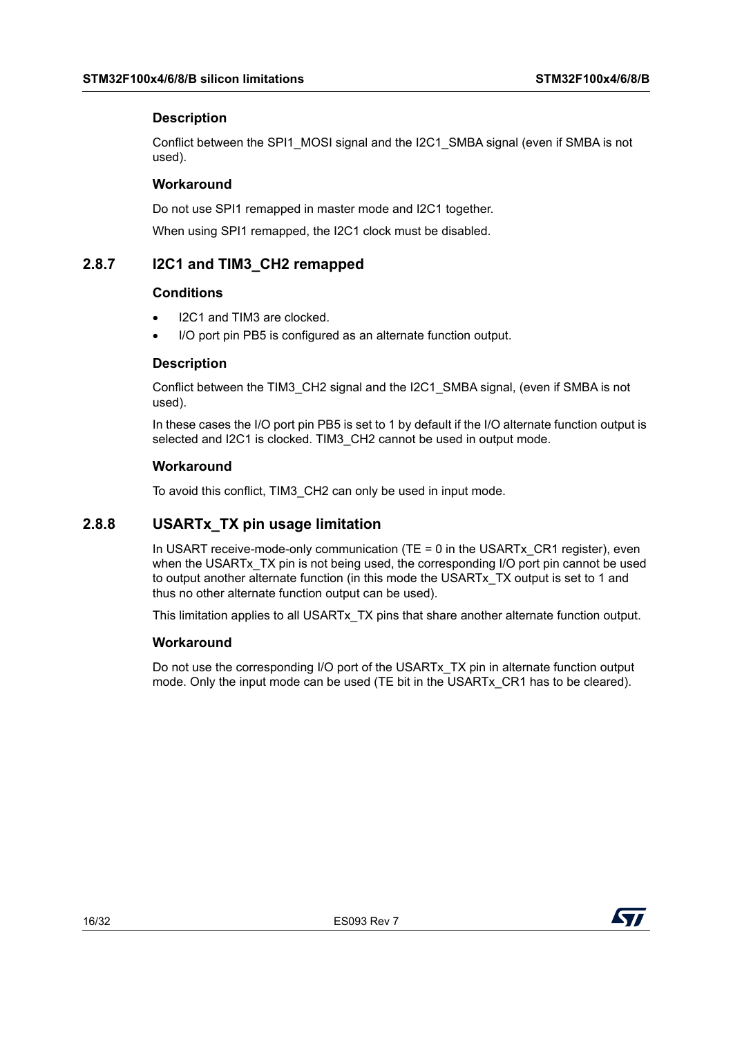## **Description**

Conflict between the SPI1\_MOSI signal and the I2C1\_SMBA signal (even if SMBA is not used).

## **Workaround**

Do not use SPI1 remapped in master mode and I2C1 together.

When using SPI1 remapped, the I2C1 clock must be disabled.

## <span id="page-15-0"></span>**2.8.7 I2C1 and TIM3\_CH2 remapped**

## **Conditions**

- I2C1 and TIM3 are clocked.
- I/O port pin PB5 is configured as an alternate function output.

## **Description**

Conflict between the TIM3\_CH2 signal and the I2C1\_SMBA signal, (even if SMBA is not used).

In these cases the I/O port pin PB5 is set to 1 by default if the I/O alternate function output is selected and I2C1 is clocked. TIM3 CH2 cannot be used in output mode.

## **Workaround**

To avoid this conflict, TIM3\_CH2 can only be used in input mode.

## <span id="page-15-1"></span>**2.8.8 USARTx\_TX pin usage limitation**

In USART receive-mode-only communication (TE = 0 in the USARTx  $CR1$  register), even when the USARTx TX pin is not being used, the corresponding I/O port pin cannot be used to output another alternate function (in this mode the USARTx\_TX output is set to 1 and thus no other alternate function output can be used).

This limitation applies to all USARTx\_TX pins that share another alternate function output.

## **Workaround**

Do not use the corresponding I/O port of the USARTx TX pin in alternate function output mode. Only the input mode can be used (TE bit in the USARTx\_CR1 has to be cleared).

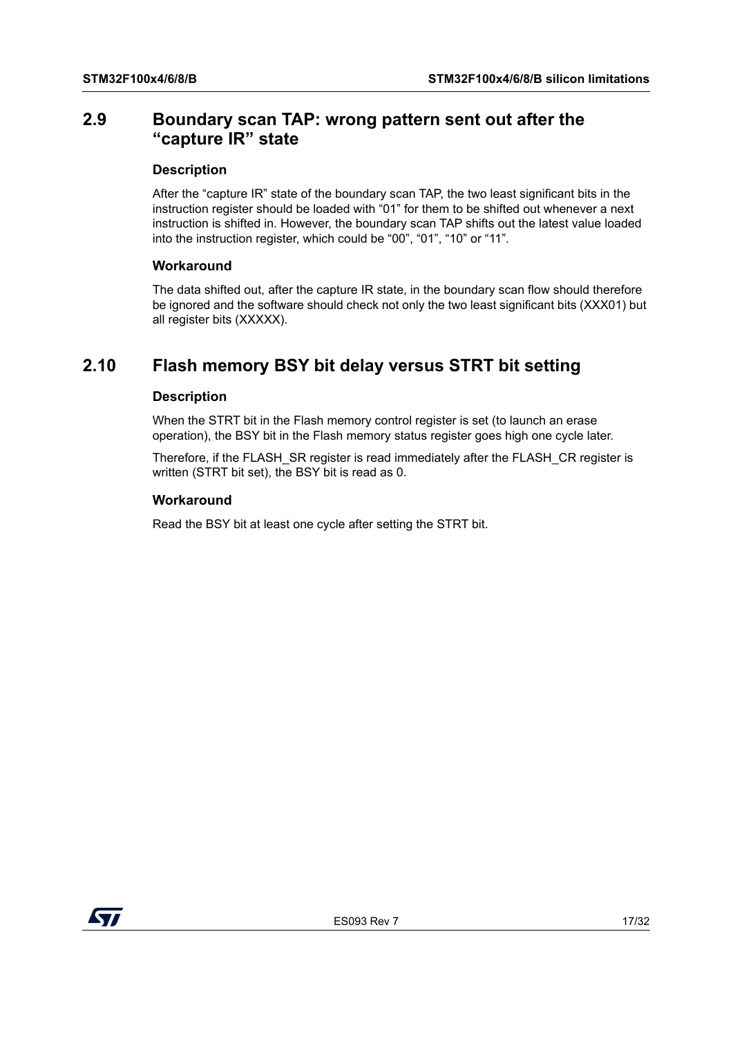## <span id="page-16-0"></span>**2.9 Boundary scan TAP: wrong pattern sent out after the "capture IR" state**

#### **Description**

After the "capture IR" state of the boundary scan TAP, the two least significant bits in the instruction register should be loaded with "01" for them to be shifted out whenever a next instruction is shifted in. However, the boundary scan TAP shifts out the latest value loaded into the instruction register, which could be "00", "01", "10" or "11".

#### **Workaround**

The data shifted out, after the capture IR state, in the boundary scan flow should therefore be ignored and the software should check not only the two least significant bits (XXX01) but all register bits (XXXXX).

## <span id="page-16-1"></span>**2.10 Flash memory BSY bit delay versus STRT bit setting**

## **Description**

When the STRT bit in the Flash memory control register is set (to launch an erase operation), the BSY bit in the Flash memory status register goes high one cycle later.

Therefore, if the FLASH\_SR register is read immediately after the FLASH\_CR register is written (STRT bit set), the BSY bit is read as 0.

## **Workaround**

Read the BSY bit at least one cycle after setting the STRT bit.

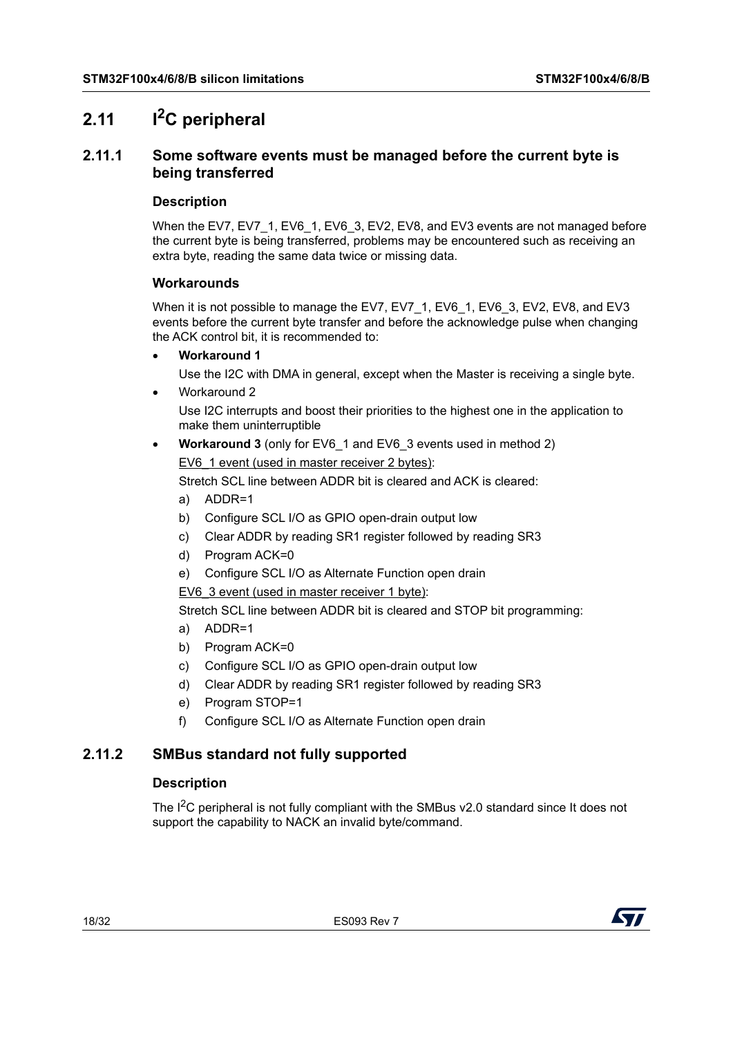## <span id="page-17-0"></span>**2.11 I2C peripheral**

## <span id="page-17-1"></span>**2.11.1 Some software events must be managed before the current byte is being transferred**

## **Description**

When the EV7, EV7\_1, EV6\_1, EV6\_3, EV2, EV8, and EV3 events are not managed before the current byte is being transferred, problems may be encountered such as receiving an extra byte, reading the same data twice or missing data.

## **Workarounds**

When it is not possible to manage the EV7, EV7 1, EV6 1, EV6 3, EV2, EV8, and EV3 events before the current byte transfer and before the acknowledge pulse when changing the ACK control bit, it is recommended to:

**Workaround 1**

Use the I2C with DMA in general, except when the Master is receiving a single byte.

Workaround 2

Use I2C interrupts and boost their priorities to the highest one in the application to make them uninterruptible

 **Workaround 3** (only for EV6\_1 and EV6\_3 events used in method 2) EV6\_1 event (used in master receiver 2 bytes):

Stretch SCL line between ADDR bit is cleared and ACK is cleared:

- a) ADDR=1
- b) Configure SCL I/O as GPIO open-drain output low
- c) Clear ADDR by reading SR1 register followed by reading SR3
- d) Program ACK=0
- e) Configure SCL I/O as Alternate Function open drain

EV6\_3 event (used in master receiver 1 byte):

Stretch SCL line between ADDR bit is cleared and STOP bit programming:

- a) ADDR=1
- b) Program ACK=0
- c) Configure SCL I/O as GPIO open-drain output low
- d) Clear ADDR by reading SR1 register followed by reading SR3
- e) Program STOP=1
- f) Configure SCL I/O as Alternate Function open drain

## <span id="page-17-2"></span>**2.11.2 SMBus standard not fully supported**

## **Description**

The I<sup>2</sup>C peripheral is not fully compliant with the SMBus v2.0 standard since It does not support the capability to NACK an invalid byte/command.

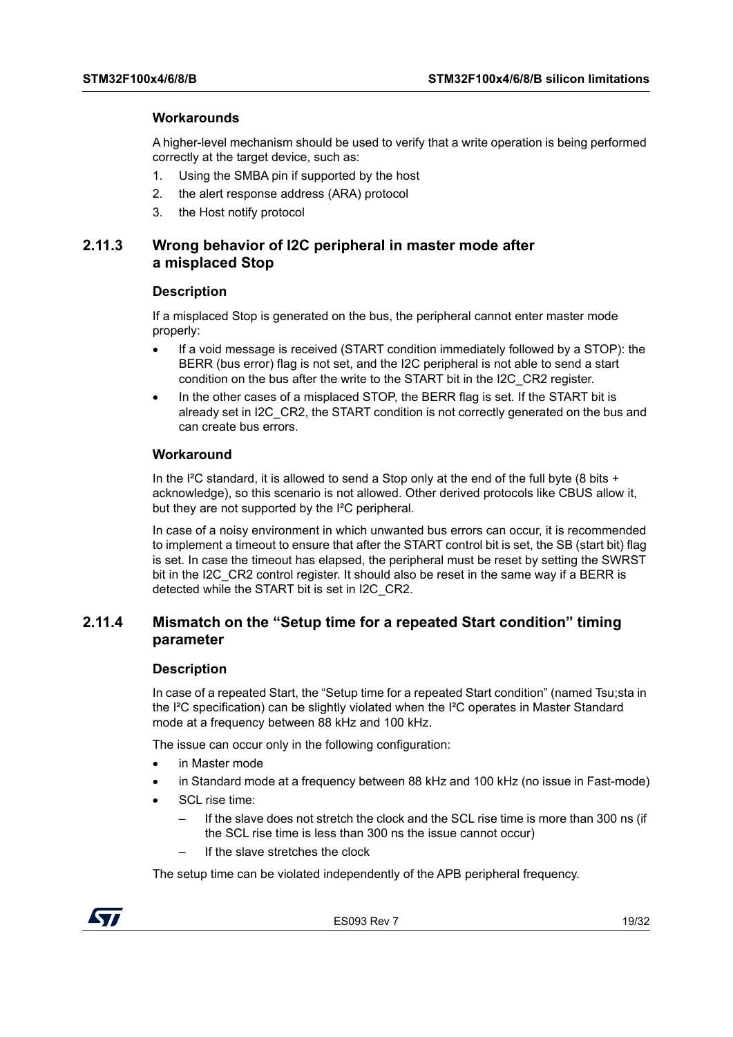## **Workarounds**

A higher-level mechanism should be used to verify that a write operation is being performed correctly at the target device, such as:

- 1. Using the SMBA pin if supported by the host
- 2. the alert response address (ARA) protocol
- 3. the Host notify protocol

## <span id="page-18-0"></span>**2.11.3 Wrong behavior of I2C peripheral in master mode after a misplaced Stop**

## **Description**

If a misplaced Stop is generated on the bus, the peripheral cannot enter master mode properly:

- If a void message is received (START condition immediately followed by a STOP): the BERR (bus error) flag is not set, and the I2C peripheral is not able to send a start condition on the bus after the write to the START bit in the I2C\_CR2 register.
- In the other cases of a misplaced STOP, the BERR flag is set. If the START bit is already set in I2C\_CR2, the START condition is not correctly generated on the bus and can create bus errors.

## **Workaround**

In the I<sup>2</sup>C standard, it is allowed to send a Stop only at the end of the full byte (8 bits + acknowledge), so this scenario is not allowed. Other derived protocols like CBUS allow it, but they are not supported by the I²C peripheral.

In case of a noisy environment in which unwanted bus errors can occur, it is recommended to implement a timeout to ensure that after the START control bit is set, the SB (start bit) flag is set. In case the timeout has elapsed, the peripheral must be reset by setting the SWRST bit in the I2C\_CR2 control register. It should also be reset in the same way if a BERR is detected while the START bit is set in I2C\_CR2.

## <span id="page-18-1"></span>**2.11.4 Mismatch on the "Setup time for a repeated Start condition" timing parameter**

#### **Description**

In case of a repeated Start, the "Setup time for a repeated Start condition" (named Tsu;sta in the I²C specification) can be slightly violated when the I²C operates in Master Standard mode at a frequency between 88 kHz and 100 kHz.

The issue can occur only in the following configuration:

- in Master mode
- in Standard mode at a frequency between 88 kHz and 100 kHz (no issue in Fast-mode)
- SCL rise time:
	- If the slave does not stretch the clock and the SCL rise time is more than 300 ns (if the SCL rise time is less than 300 ns the issue cannot occur)
	- If the slave stretches the clock

The setup time can be violated independently of the APB peripheral frequency.

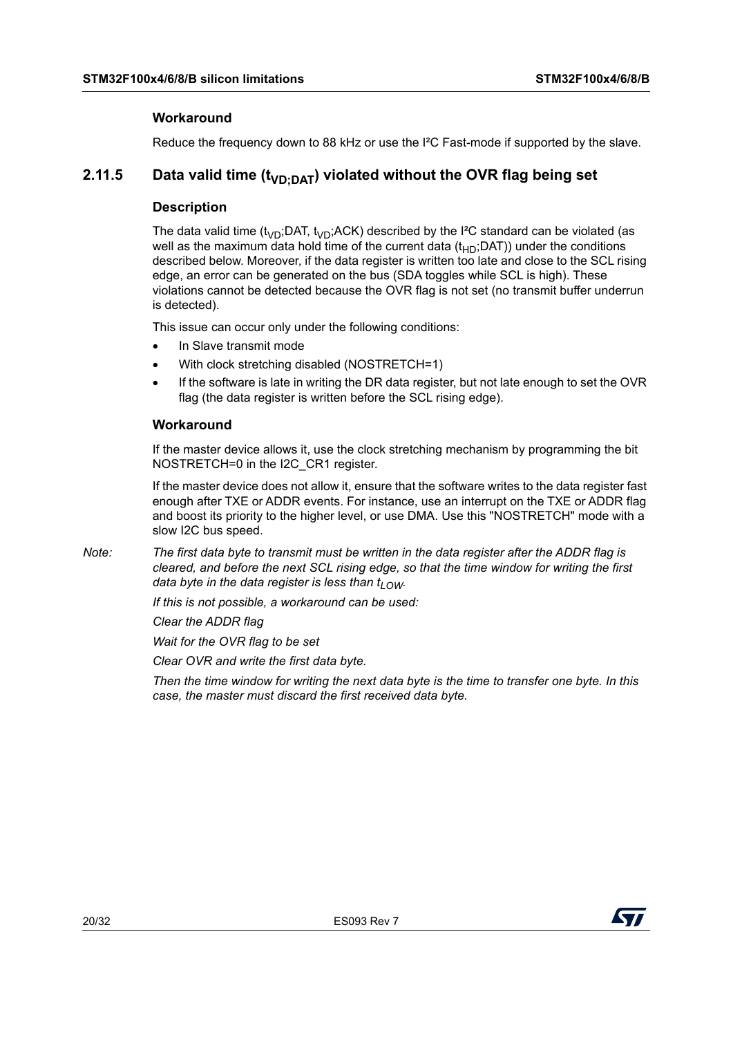## **Workaround**

Reduce the frequency down to 88 kHz or use the I²C Fast-mode if supported by the slave.

## <span id="page-19-0"></span>**2.11.5** Data valid time (t<sub>VD:DAT</sub>) violated without the OVR flag being set

## **Description**

The data valid time (t<sub>VD</sub>;DAT, t<sub>VD</sub>;ACK) described by the I<sup>2</sup>C standard can be violated (as well as the maximum data hold time of the current data  $(t_{HD}$ ;DAT)) under the conditions described below. Moreover, if the data register is written too late and close to the SCL rising edge, an error can be generated on the bus (SDA toggles while SCL is high). These violations cannot be detected because the OVR flag is not set (no transmit buffer underrun is detected).

This issue can occur only under the following conditions:

- In Slave transmit mode
- With clock stretching disabled (NOSTRETCH=1)
- If the software is late in writing the DR data register, but not late enough to set the OVR flag (the data register is written before the SCL rising edge).

## **Workaround**

If the master device allows it, use the clock stretching mechanism by programming the bit NOSTRETCH=0 in the I2C\_CR1 register.

If the master device does not allow it, ensure that the software writes to the data register fast enough after TXE or ADDR events. For instance, use an interrupt on the TXE or ADDR flag and boost its priority to the higher level, or use DMA. Use this "NOSTRETCH" mode with a slow I2C bus speed.

*Note: The first data byte to transmit must be written in the data register after the ADDR flag is cleared, and before the next SCL rising edge, so that the time window for writing the first data byte in the data register is less than*  $t_1$  $\sim$ *w.* 

*If this is not possible, a workaround can be used:*

*Clear the ADDR flag*

*Wait for the OVR flag to be set*

*Clear OVR and write the first data byte.*

*Then the time window for writing the next data byte is the time to transfer one byte. In this case, the master must discard the first received data byte.*

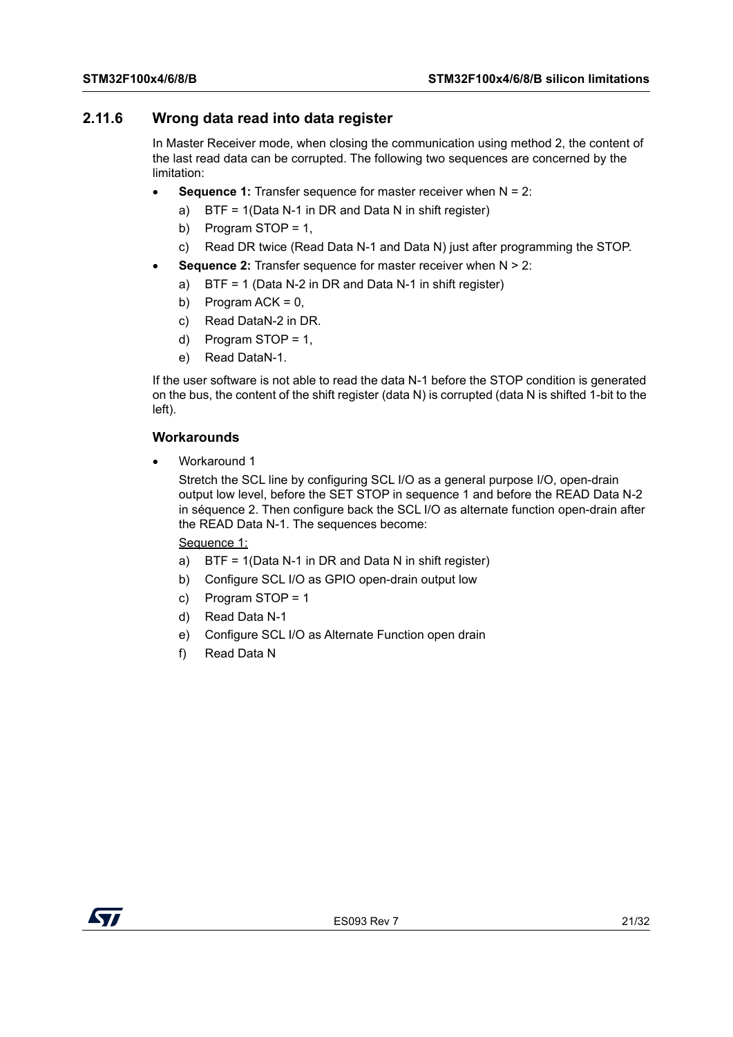## <span id="page-20-0"></span>**2.11.6 Wrong data read into data register**

In Master Receiver mode, when closing the communication using method 2, the content of the last read data can be corrupted. The following two sequences are concerned by the limitation:

- **Sequence 1:** Transfer sequence for master receiver when N = 2:
	- a) BTF = 1(Data N-1 in DR and Data N in shift register)
	- b) Program STOP = 1,
	- c) Read DR twice (Read Data N-1 and Data N) just after programming the STOP.
- **Sequence 2:** Transfer sequence for master receiver when N > 2:
	- a) BTF = 1 (Data N-2 in DR and Data N-1 in shift register)
	- b) Program ACK =  $0$ ,
	- c) Read DataN-2 in DR.
	- d) Program STOP = 1,
	- e) Read DataN-1.

If the user software is not able to read the data N-1 before the STOP condition is generated on the bus, the content of the shift register (data N) is corrupted (data N is shifted 1-bit to the left).

## **Workarounds**

Workaround 1

Stretch the SCL line by configuring SCL I/O as a general purpose I/O, open-drain output low level, before the SET STOP in sequence 1 and before the READ Data N-2 in séquence 2. Then configure back the SCL I/O as alternate function open-drain after the READ Data N-1. The sequences become:

<span id="page-20-1"></span>Sequence 1:

- a) BTF = 1(Data N-1 in DR and Data N in shift register)
- b) Configure SCL I/O as GPIO open-drain output low
- c) Program STOP = 1
- d) Read Data N-1
- e) Configure SCL I/O as Alternate Function open drain
- f) Read Data N

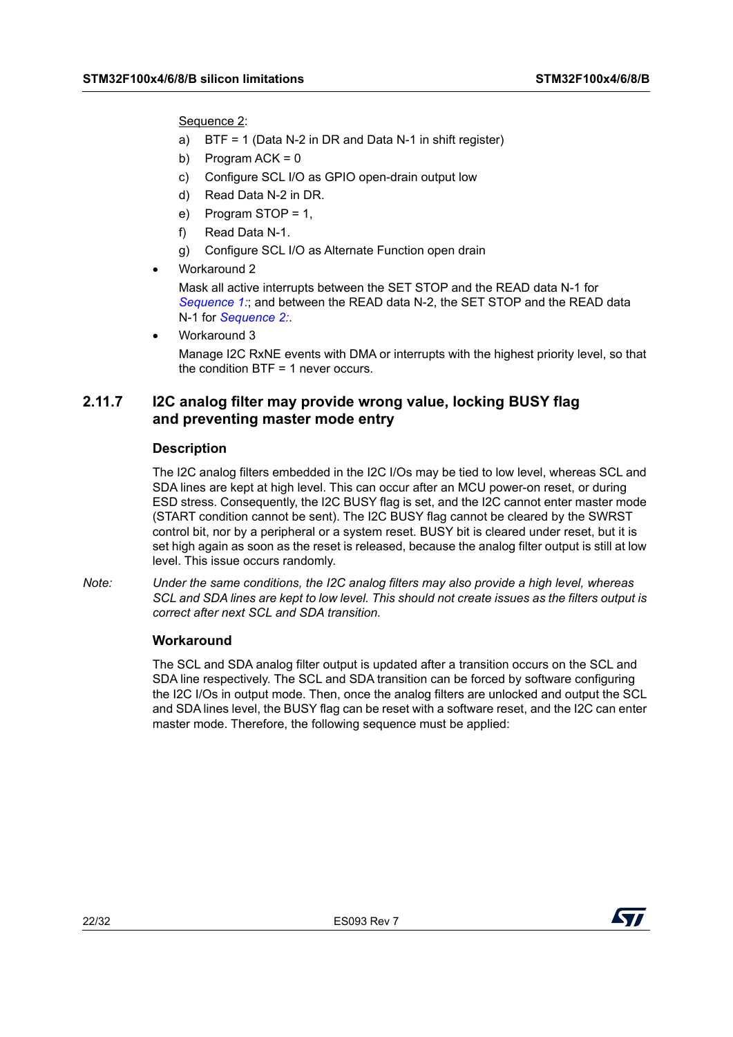<span id="page-21-1"></span>Sequence 2:

- a) BTF = 1 (Data N-2 in DR and Data N-1 in shift register)
- b) Program  $ACK = 0$
- c) Configure SCL I/O as GPIO open-drain output low
- d) Read Data N-2 in DR.
- e) Program STOP = 1,
- f) Read Data N-1.
- g) Configure SCL I/O as Alternate Function open drain
- Workaround 2

Mask all active interrupts between the SET STOP and the READ data N-1 for *[Sequence 1:](#page-20-1)*; and between the READ data N-2, the SET STOP and the READ data N-1 for *[Sequence 2:](#page-21-1)*.

Workaround 3

Manage I2C RxNE events with DMA or interrupts with the highest priority level, so that the condition BTF = 1 never occurs.

## <span id="page-21-0"></span>**2.11.7 I2C analog filter may provide wrong value, locking BUSY flag and preventing master mode entry**

## **Description**

The I2C analog filters embedded in the I2C I/Os may be tied to low level, whereas SCL and SDA lines are kept at high level. This can occur after an MCU power-on reset, or during ESD stress. Consequently, the I2C BUSY flag is set, and the I2C cannot enter master mode (START condition cannot be sent). The I2C BUSY flag cannot be cleared by the SWRST control bit, nor by a peripheral or a system reset. BUSY bit is cleared under reset, but it is set high again as soon as the reset is released, because the analog filter output is still at low level. This issue occurs randomly.

*Note: Under the same conditions, the I2C analog filters may also provide a high level, whereas SCL and SDA lines are kept to low level. This should not create issues as the filters output is correct after next SCL and SDA transition.* 

## **Workaround**

The SCL and SDA analog filter output is updated after a transition occurs on the SCL and SDA line respectively. The SCL and SDA transition can be forced by software configuring the I2C I/Os in output mode. Then, once the analog filters are unlocked and output the SCL and SDA lines level, the BUSY flag can be reset with a software reset, and the I2C can enter master mode. Therefore, the following sequence must be applied:

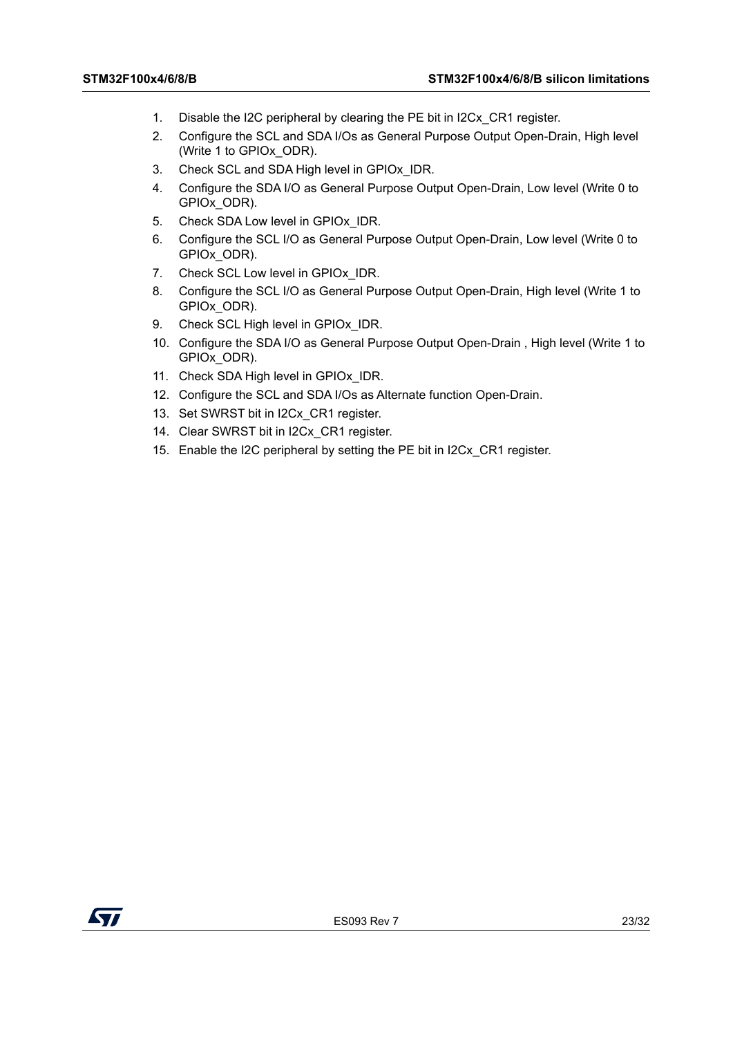- 1. Disable the I2C peripheral by clearing the PE bit in I2Cx\_CR1 register.
- 2. Configure the SCL and SDA I/Os as General Purpose Output Open-Drain, High level (Write 1 to GPIOx\_ODR).
- 3. Check SCL and SDA High level in GPIOx\_IDR.
- 4. Configure the SDA I/O as General Purpose Output Open-Drain, Low level (Write 0 to GPIOx\_ODR).
- 5. Check SDA Low level in GPIOx IDR.
- 6. Configure the SCL I/O as General Purpose Output Open-Drain, Low level (Write 0 to GPIOx\_ODR).
- 7. Check SCL Low level in GPIOx IDR.
- 8. Configure the SCL I/O as General Purpose Output Open-Drain, High level (Write 1 to GPIOx\_ODR).
- 9. Check SCL High level in GPIOx IDR.
- 10. Configure the SDA I/O as General Purpose Output Open-Drain , High level (Write 1 to GPIOx\_ODR).
- 11. Check SDA High level in GPIOx\_IDR.
- 12. Configure the SCL and SDA I/Os as Alternate function Open-Drain.
- 13. Set SWRST bit in I2Cx\_CR1 register.
- 14. Clear SWRST bit in I2Cx CR1 register.
- 15. Enable the I2C peripheral by setting the PE bit in I2Cx\_CR1 register.

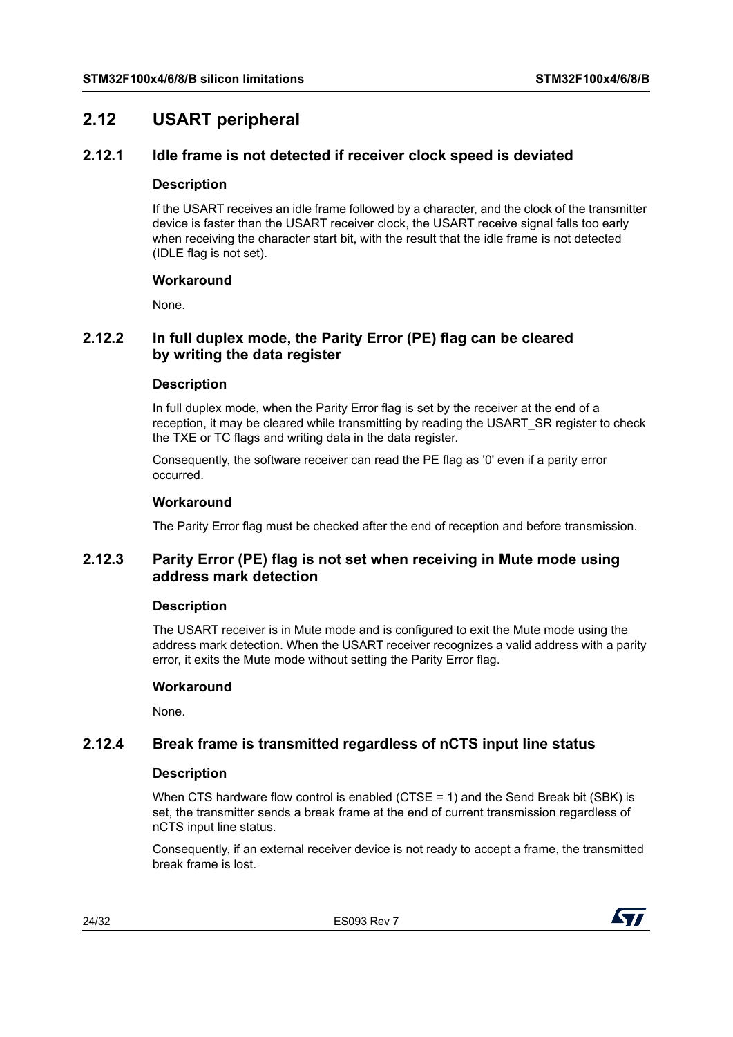## <span id="page-23-0"></span>**2.12 USART peripheral**

## <span id="page-23-1"></span>**2.12.1 Idle frame is not detected if receiver clock speed is deviated**

## **Description**

If the USART receives an idle frame followed by a character, and the clock of the transmitter device is faster than the USART receiver clock, the USART receive signal falls too early when receiving the character start bit, with the result that the idle frame is not detected (IDLE flag is not set).

## **Workaround**

None.

## <span id="page-23-2"></span>**2.12.2 In full duplex mode, the Parity Error (PE) flag can be cleared by writing the data register**

## **Description**

In full duplex mode, when the Parity Error flag is set by the receiver at the end of a reception, it may be cleared while transmitting by reading the USART\_SR register to check the TXE or TC flags and writing data in the data register.

Consequently, the software receiver can read the PE flag as '0' even if a parity error occurred.

## **Workaround**

The Parity Error flag must be checked after the end of reception and before transmission.

## <span id="page-23-3"></span>**2.12.3 Parity Error (PE) flag is not set when receiving in Mute mode using address mark detection**

## **Description**

The USART receiver is in Mute mode and is configured to exit the Mute mode using the address mark detection. When the USART receiver recognizes a valid address with a parity error, it exits the Mute mode without setting the Parity Error flag.

## **Workaround**

None.

## <span id="page-23-4"></span>**2.12.4 Break frame is transmitted regardless of nCTS input line status**

## **Description**

When CTS hardware flow control is enabled (CTSE = 1) and the Send Break bit (SBK) is set, the transmitter sends a break frame at the end of current transmission regardless of nCTS input line status.

Consequently, if an external receiver device is not ready to accept a frame, the transmitted break frame is lost.

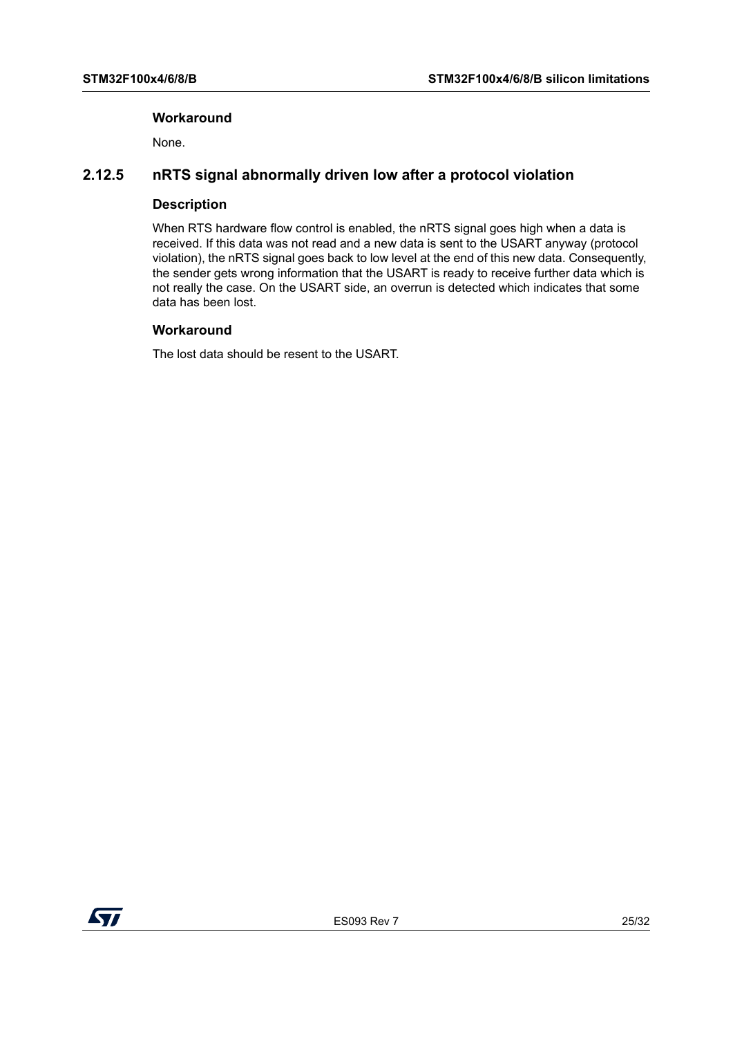## **Workaround**

None.

## <span id="page-24-0"></span>**2.12.5 nRTS signal abnormally driven low after a protocol violation**

## **Description**

When RTS hardware flow control is enabled, the nRTS signal goes high when a data is received. If this data was not read and a new data is sent to the USART anyway (protocol violation), the nRTS signal goes back to low level at the end of this new data. Consequently, the sender gets wrong information that the USART is ready to receive further data which is not really the case. On the USART side, an overrun is detected which indicates that some data has been lost.

## **Workaround**

The lost data should be resent to the USART.

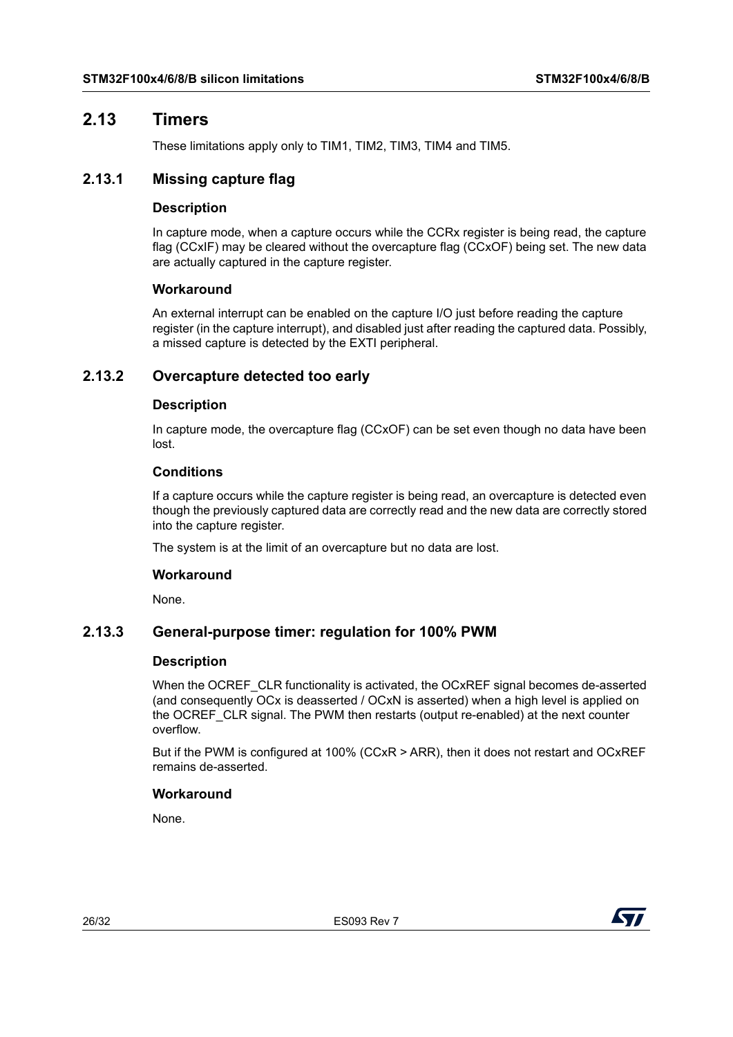## <span id="page-25-0"></span>**2.13 Timers**

These limitations apply only to TIM1, TIM2, TIM3, TIM4 and TIM5.

## <span id="page-25-1"></span>**2.13.1 Missing capture flag**

## **Description**

In capture mode, when a capture occurs while the CCRx register is being read, the capture flag (CCxIF) may be cleared without the overcapture flag (CCxOF) being set. The new data are actually captured in the capture register.

## **Workaround**

An external interrupt can be enabled on the capture I/O just before reading the capture register (in the capture interrupt), and disabled just after reading the captured data. Possibly, a missed capture is detected by the EXTI peripheral.

## <span id="page-25-2"></span>**2.13.2 Overcapture detected too early**

## **Description**

In capture mode, the overcapture flag (CCxOF) can be set even though no data have been lost.

## **Conditions**

If a capture occurs while the capture register is being read, an overcapture is detected even though the previously captured data are correctly read and the new data are correctly stored into the capture register.

The system is at the limit of an overcapture but no data are lost.

## **Workaround**

None.

## <span id="page-25-3"></span>**2.13.3 General-purpose timer: regulation for 100% PWM**

## **Description**

When the OCREF CLR functionality is activated, the OCxREF signal becomes de-asserted (and consequently OCx is deasserted / OCxN is asserted) when a high level is applied on the OCREF\_CLR signal. The PWM then restarts (output re-enabled) at the next counter overflow.

But if the PWM is configured at 100% (CCxR > ARR), then it does not restart and OCxREF remains de-asserted.

## **Workaround**

None.

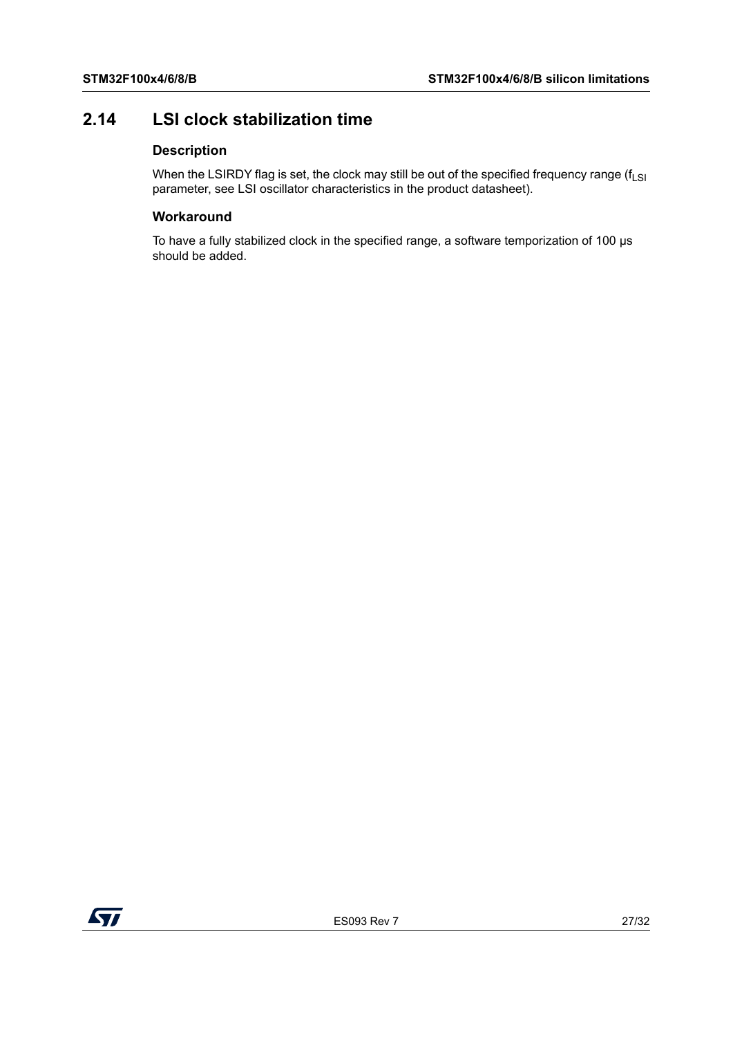## <span id="page-26-0"></span>**2.14 LSI clock stabilization time**

## **Description**

When the LSIRDY flag is set, the clock may still be out of the specified frequency range ( $f_{LSI}$ ) parameter, see LSI oscillator characteristics in the product datasheet).

## **Workaround**

To have a fully stabilized clock in the specified range, a software temporization of 100 µs should be added.

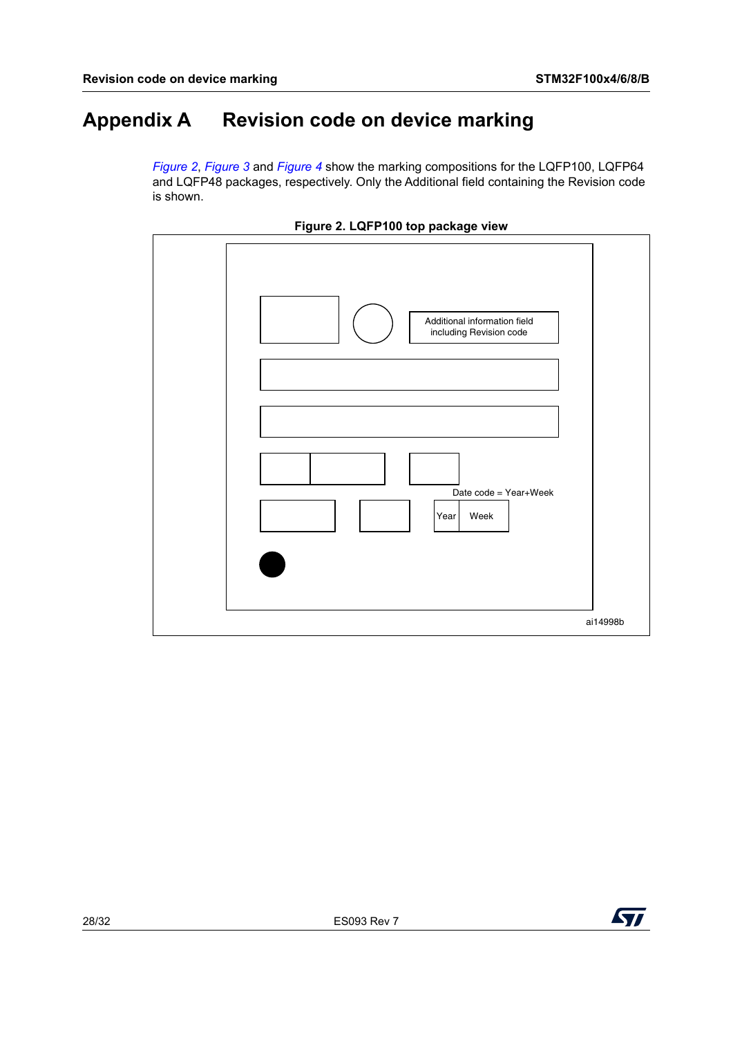# <span id="page-27-1"></span>**Appendix A Revision code on device marking**

<span id="page-27-0"></span>*[Figure](#page-27-2) 2*, *[Figure](#page-28-0) 3* and *[Figure](#page-29-0) 4* show the marking compositions for the LQFP100, LQFP64 and LQFP48 packages, respectively. Only the Additional field containing the Revision code is shown.

<span id="page-27-2"></span>



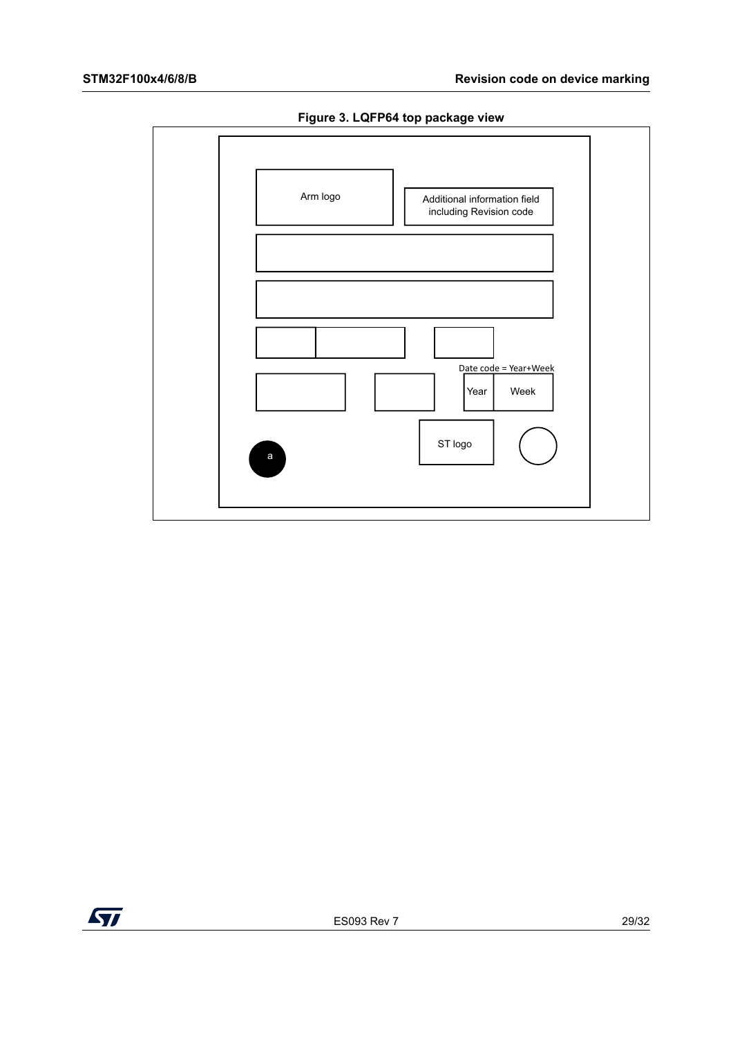

<span id="page-28-0"></span>

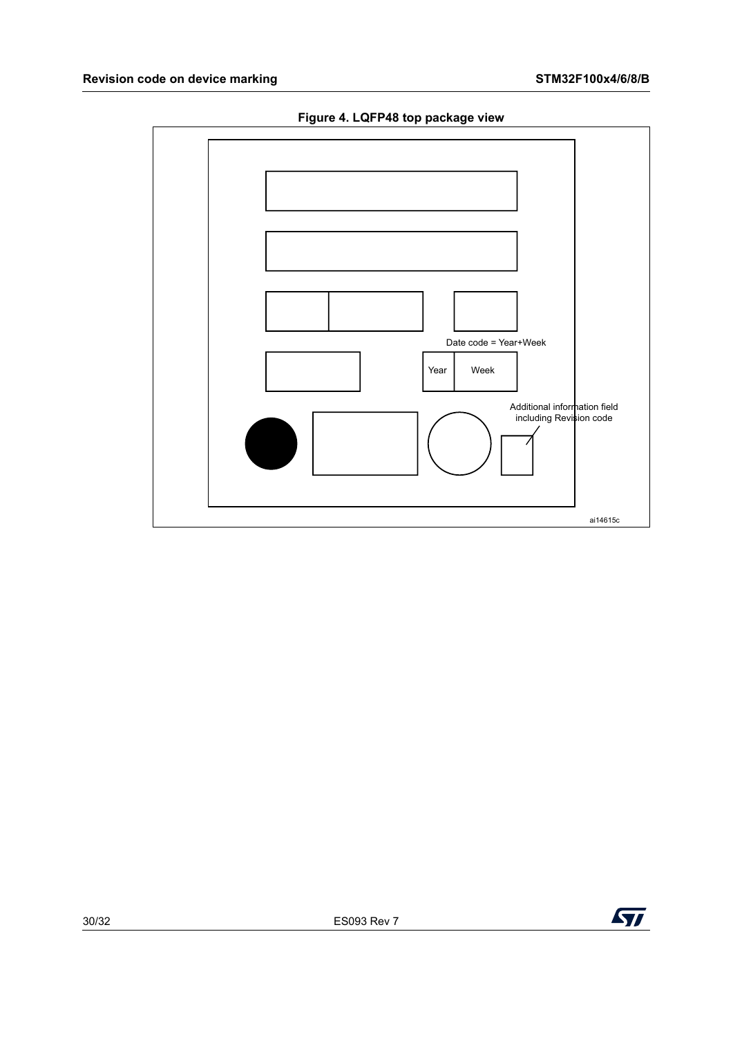

<span id="page-29-0"></span>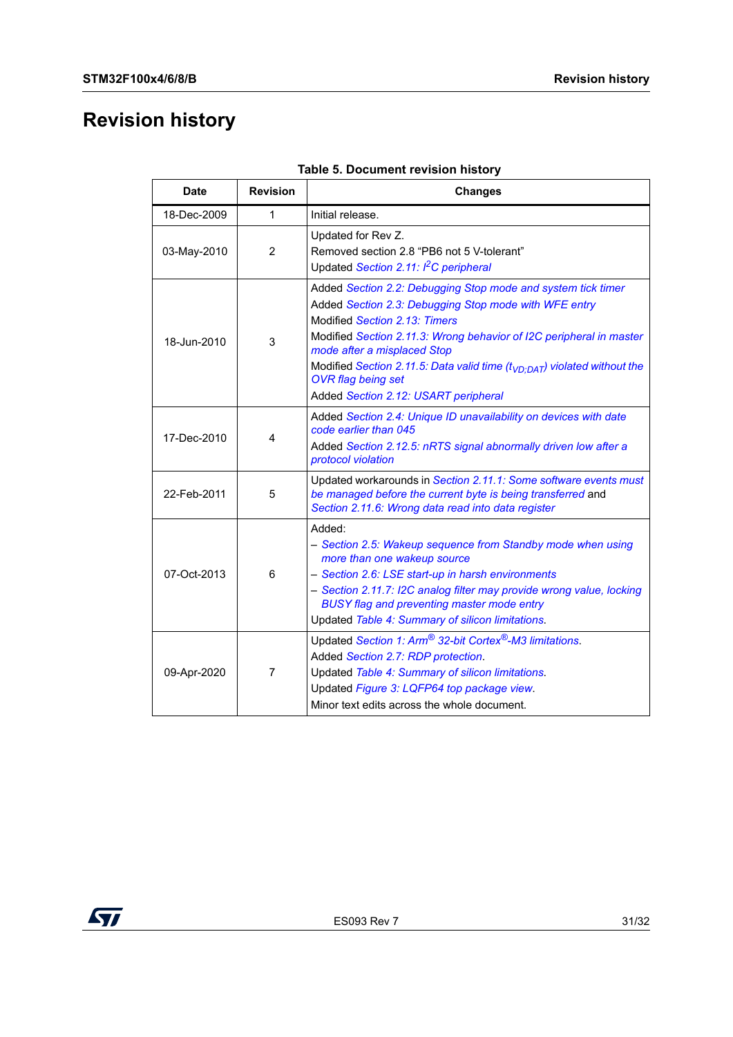# <span id="page-30-0"></span>**Revision history**

<span id="page-30-1"></span>

| Date        | <b>Revision</b> | <b>Changes</b>                                                                                                                                                                                                                                                                                                                                                                                                 |
|-------------|-----------------|----------------------------------------------------------------------------------------------------------------------------------------------------------------------------------------------------------------------------------------------------------------------------------------------------------------------------------------------------------------------------------------------------------------|
| 18-Dec-2009 | 1               | Initial release.                                                                                                                                                                                                                                                                                                                                                                                               |
| 03-May-2010 | $\overline{2}$  | Updated for Rev Z.<br>Removed section 2.8 "PB6 not 5 V-tolerant"<br>Updated Section 2.11: I <sup>2</sup> C peripheral                                                                                                                                                                                                                                                                                          |
| 18-Jun-2010 | 3               | Added Section 2.2: Debugging Stop mode and system tick timer<br>Added Section 2.3: Debugging Stop mode with WFE entry<br>Modified Section 2.13: Timers<br>Modified Section 2.11.3: Wrong behavior of I2C peripheral in master<br>mode after a misplaced Stop<br>Modified Section 2.11.5: Data valid time $(tVD:DAT)$ violated without the<br><b>OVR</b> flag being set<br>Added Section 2.12: USART peripheral |
| 17-Dec-2010 | 4               | Added Section 2.4: Unique ID unavailability on devices with date<br>code earlier than 045<br>Added Section 2.12.5: nRTS signal abnormally driven low after a<br>protocol violation                                                                                                                                                                                                                             |
| 22-Feb-2011 | 5               | Updated workarounds in Section 2.11.1: Some software events must<br>be managed before the current byte is being transferred and<br>Section 2.11.6: Wrong data read into data register                                                                                                                                                                                                                          |
| 07-Oct-2013 | 6               | Added:<br>- Section 2.5: Wakeup sequence from Standby mode when using<br>more than one wakeup source<br>- Section 2.6: LSE start-up in harsh environments<br>- Section 2.11.7: I2C analog filter may provide wrong value, locking<br>BUSY flag and preventing master mode entry<br>Updated Table 4: Summary of silicon limitations.                                                                            |
| 09-Apr-2020 | 7               | Updated Section 1: Arm <sup>®</sup> 32-bit Cortex <sup>®</sup> -M3 limitations.<br>Added Section 2.7: RDP protection.<br>Updated Table 4: Summary of silicon limitations.<br>Updated Figure 3: LQFP64 top package view.<br>Minor text edits across the whole document.                                                                                                                                         |

|  | Table 5. Document revision history |  |  |
|--|------------------------------------|--|--|
|--|------------------------------------|--|--|